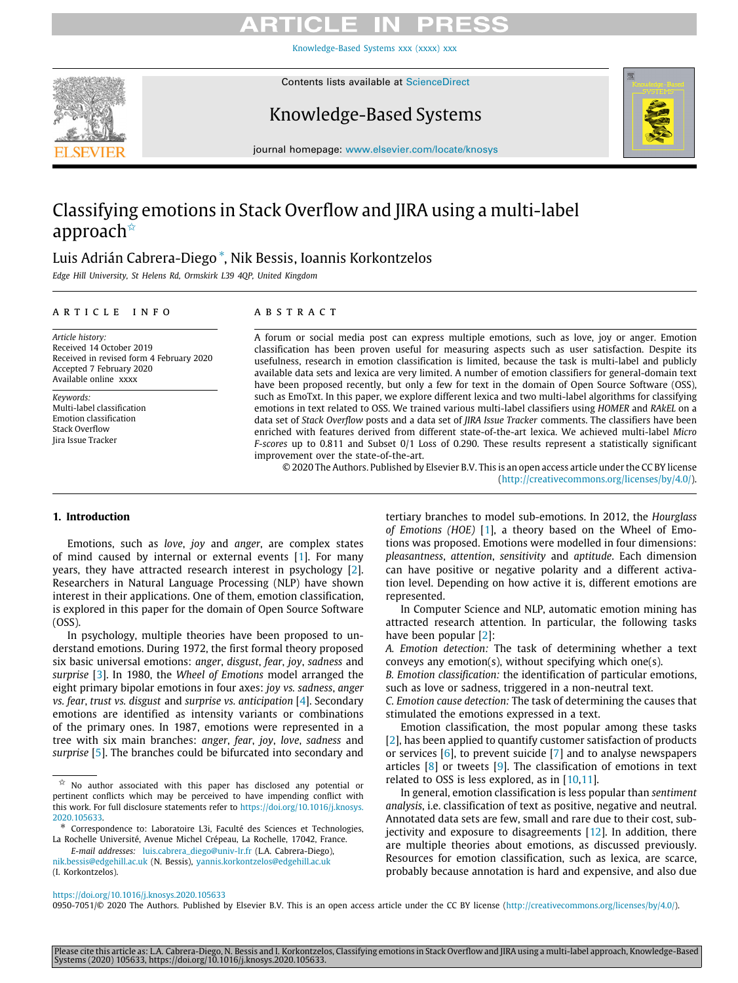[Knowledge-Based Systems xxx \(xxxx\) xxx](https://doi.org/10.1016/j.knosys.2020.105633)



Contents lists available at [ScienceDirect](http://www.elsevier.com/locate/knosys)

# Knowledge-Based Systems



journal homepage: [www.elsevier.com/locate/knosys](http://www.elsevier.com/locate/knosys)

# Classifying emotions in Stack Overflow and JIRA using a multi-label approach<sup>☆</sup>

# Luis Adrián Cabrera-Diego [∗](#page-0-1) , Nik Bessis, Ioannis Korkontzelos

*Edge Hill University, St Helens Rd, Ormskirk L39 4QP, United Kingdom*

# ARTICLE INFO

*Article history:* Received 14 October 2019 Received in revised form 4 February 2020 Accepted 7 February 2020 Available online xxxx

*Keywords:* Multi-label classification Emotion classification Stack Overflow Jira Issue Tracker

# A B S T R A C T

A forum or social media post can express multiple emotions, such as love, joy or anger. Emotion classification has been proven useful for measuring aspects such as user satisfaction. Despite its usefulness, research in emotion classification is limited, because the task is multi-label and publicly available data sets and lexica are very limited. A number of emotion classifiers for general-domain text have been proposed recently, but only a few for text in the domain of Open Source Software (OSS), such as EmoTxt. In this paper, we explore different lexica and two multi-label algorithms for classifying emotions in text related to OSS. We trained various multi-label classifiers using *HOMER* and *RAkEL* on a data set of *Stack Overflow* posts and a data set of *JIRA Issue Tracker* comments. The classifiers have been enriched with features derived from different state-of-the-art lexica. We achieved multi-label *Micro F-scores* up to 0.811 and Subset 0/1 Loss of 0.290. These results represent a statistically significant improvement over the state-of-the-art.

© 2020 The Authors. Published by Elsevier B.V. This is an open access article under the CC BY license [\(http://creativecommons.org/licenses/by/4.0/](http://creativecommons.org/licenses/by/4.0/)).

# **1. Introduction**

Emotions, such as *love*, *joy* and *anger*, are complex states of mind caused by internal or external events [[1](#page-9-0)]. For many years, they have attracted research interest in psychology [[2\]](#page-9-1). Researchers in Natural Language Processing (NLP) have shown interest in their applications. One of them, emotion classification, is explored in this paper for the domain of Open Source Software (OSS).

In psychology, multiple theories have been proposed to understand emotions. During 1972, the first formal theory proposed six basic universal emotions: *anger*, *disgust*, *fear*, *joy*, *sadness* and *surprise* [[3\]](#page-9-2). In 1980, the *Wheel of Emotions* model arranged the eight primary bipolar emotions in four axes: *joy vs. sadness*, *anger vs. fear*, *trust vs. disgust* and *surprise vs. anticipation* [[4\]](#page-9-3). Secondary emotions are identified as intensity variants or combinations of the primary ones. In 1987, emotions were represented in a tree with six main branches: *anger*, *fear*, *joy*, *love*, *sadness* and *surprise* [\[5\]](#page-9-4). The branches could be bifurcated into secondary and

*E-mail addresses:* [luis.cabrera\\_diego@univ-lr.fr](mailto:luis.cabrera_diego@univ-lr.fr) (L.A. Cabrera-Diego), [nik.bessis@edgehill.ac.uk](mailto:nik.bessis@edgehill.ac.uk) (N. Bessis), [yannis.korkontzelos@edgehill.ac.uk](mailto:yannis.korkontzelos@edgehill.ac.uk) (I. Korkontzelos).

tertiary branches to model sub-emotions. In 2012, the *Hourglass of Emotions (HOE)* [[1\]](#page-9-0), a theory based on the Wheel of Emotions was proposed. Emotions were modelled in four dimensions: *pleasantness*, *attention*, *sensitivity* and *aptitude*. Each dimension can have positive or negative polarity and a different activation level. Depending on how active it is, different emotions are represented.

In Computer Science and NLP, automatic emotion mining has attracted research attention. In particular, the following tasks have been popular [\[2](#page-9-1)]:

*A. Emotion detection:* The task of determining whether a text conveys any emotion(s), without specifying which one(s).

*B. Emotion classification:* the identification of particular emotions, such as love or sadness, triggered in a non-neutral text.

*C. Emotion cause detection:* The task of determining the causes that stimulated the emotions expressed in a text.

Emotion classification, the most popular among these tasks [\[2](#page-9-1)], has been applied to quantify customer satisfaction of products or services [[6](#page-9-5)], to prevent suicide [[7\]](#page-9-6) and to analyse newspapers articles [[8\]](#page-9-7) or tweets [[9](#page-9-8)]. The classification of emotions in text related to OSS is less explored, as in [[10](#page-9-9)[,11\]](#page-9-10).

In general, emotion classification is less popular than *sentiment analysis*, i.e. classification of text as positive, negative and neutral. Annotated data sets are few, small and rare due to their cost, subjectivity and exposure to disagreements [[12](#page-9-11)]. In addition, there are multiple theories about emotions, as discussed previously. Resources for emotion classification, such as lexica, are scarce, probably because annotation is hard and expensive, and also due

0950-7051/© 2020 The Authors. Published by Elsevier B.V. This is an open access article under the CC BY license ([http://creativecommons.org/licenses/by/4.0/\)](http://creativecommons.org/licenses/by/4.0/).

Please cite this article as: L.A. Cabrera-Diego, N. Bessis and I. Korkontzelos, Classifying emotions in Stack Overflow and JIRA using a multi-label approach, Knowledge-Based<br>Systems (2020) 105633, https://doi.org/10.1016/j

<span id="page-0-0"></span><sup>✩</sup> No author associated with this paper has disclosed any potential or pertinent conflicts which may be perceived to have impending conflict with this work. For full disclosure statements refer to [https://doi.org/10.1016/j.knosys.](https://doi.org/10.1016/j.knosys.2020.105633) [2020.105633](https://doi.org/10.1016/j.knosys.2020.105633).

<span id="page-0-1"></span><sup>∗</sup> Correspondence to: Laboratoire L3i, Faculté des Sciences et Technologies, La Rochelle Université, Avenue Michel Crépeau, La Rochelle, 17042, France.

<https://doi.org/10.1016/j.knosys.2020.105633>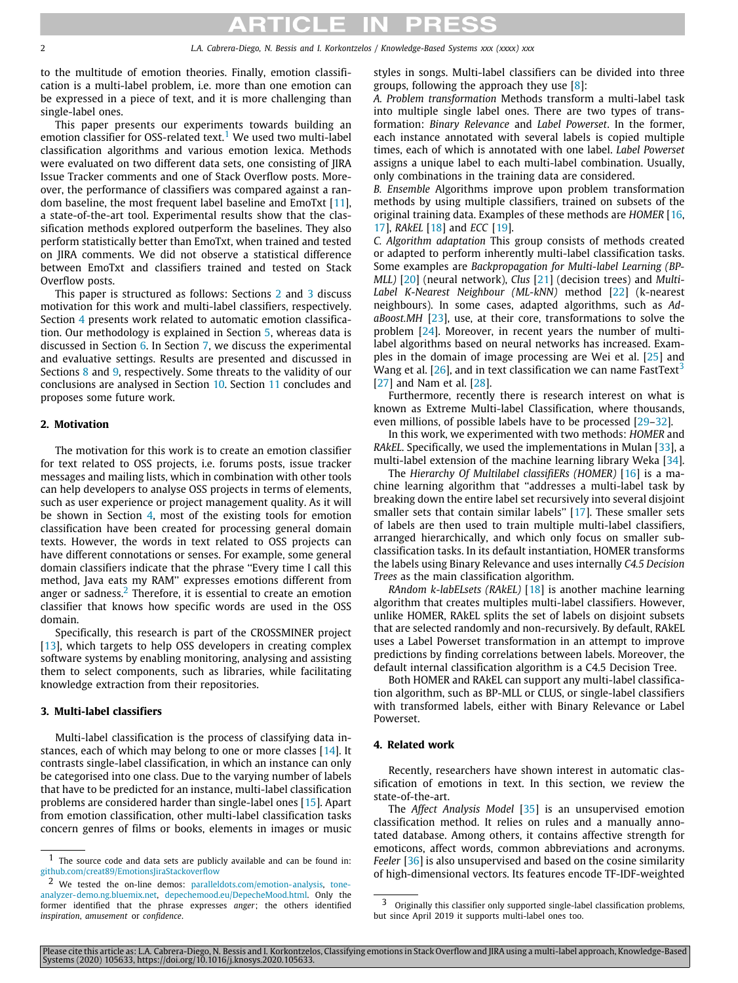to the multitude of emotion theories. Finally, emotion classification is a multi-label problem, i.e. more than one emotion can be expressed in a piece of text, and it is more challenging than single-label ones.

This paper presents our experiments towards building an emotion classifier for OSS-related text.<sup>[1](#page-1-0)</sup> We used two multi-label classification algorithms and various emotion lexica. Methods were evaluated on two different data sets, one consisting of JIRA Issue Tracker comments and one of Stack Overflow posts. Moreover, the performance of classifiers was compared against a random baseline, the most frequent label baseline and EmoTxt [\[11\]](#page-9-10), a state-of-the-art tool. Experimental results show that the classification methods explored outperform the baselines. They also perform statistically better than EmoTxt, when trained and tested on JIRA comments. We did not observe a statistical difference between EmoTxt and classifiers trained and tested on Stack Overflow posts.

This paper is structured as follows: Sections [2](#page-1-1) and [3](#page-1-2) discuss motivation for this work and multi-label classifiers, respectively. Section [4](#page-1-3) presents work related to automatic emotion classification. Our methodology is explained in Section [5](#page-2-0), whereas data is discussed in Section [6.](#page-3-0) In Section [7](#page-3-1), we discuss the experimental and evaluative settings. Results are presented and discussed in Sections [8](#page-4-0) and [9,](#page-7-0) respectively. Some threats to the validity of our conclusions are analysed in Section [10](#page-8-0). Section [11](#page-9-12) concludes and proposes some future work.

### **2. Motivation**

<span id="page-1-1"></span>The motivation for this work is to create an emotion classifier for text related to OSS projects, i.e. forums posts, issue tracker messages and mailing lists, which in combination with other tools can help developers to analyse OSS projects in terms of elements, such as user experience or project management quality. As it will be shown in Section [4](#page-1-3), most of the existing tools for emotion classification have been created for processing general domain texts. However, the words in text related to OSS projects can have different connotations or senses. For example, some general domain classifiers indicate that the phrase ''Every time I call this method, Java eats my RAM'' expresses emotions different from anger or sadness.<sup>[2](#page-1-4)</sup> Therefore, it is essential to create an emotion classifier that knows how specific words are used in the OSS domain.

<span id="page-1-4"></span>Specifically, this research is part of the CROSSMINER project [[13](#page-9-13)], which targets to help OSS developers in creating complex software systems by enabling monitoring, analysing and assisting them to select components, such as libraries, while facilitating knowledge extraction from their repositories.

## **3. Multi-label classifiers**

<span id="page-1-2"></span>Multi-label classification is the process of classifying data instances, each of which may belong to one or more classes [\[14\]](#page-9-14). It contrasts single-label classification, in which an instance can only be categorised into one class. Due to the varying number of labels that have to be predicted for an instance, multi-label classification problems are considered harder than single-label ones [[15](#page-9-15)]. Apart from emotion classification, other multi-label classification tasks concern genres of films or books, elements in images or music styles in songs. Multi-label classifiers can be divided into three groups, following the approach they use [[8\]](#page-9-7):

<span id="page-1-0"></span>*A. Problem transformation* Methods transform a multi-label task into multiple single label ones. There are two types of transformation: *Binary Relevance* and *Label Powerset*. In the former, each instance annotated with several labels is copied multiple times, each of which is annotated with one label. *Label Powerset* assigns a unique label to each multi-label combination. Usually, only combinations in the training data are considered.

*B. Ensemble* Algorithms improve upon problem transformation methods by using multiple classifiers, trained on subsets of the original training data. Examples of these methods are *HOMER* [\[16,](#page-10-0) [17](#page-10-1)], *RAkEL* [\[18\]](#page-10-2) and *ECC* [\[19\]](#page-10-3).

*C. Algorithm adaptation* This group consists of methods created or adapted to perform inherently multi-label classification tasks. Some examples are *Backpropagation for Multi-label Learning (BP-MLL)* [\[20\]](#page-10-4) (neural network), *Clus* [[21\]](#page-10-5) (decision trees) and *Multi-Label K-Nearest Neighbour (ML-kNN)* method [[22](#page-10-6)] (k-nearest neighbours). In some cases, adapted algorithms, such as *AdaBoost.MH* [[23](#page-10-7)], use, at their core, transformations to solve the problem [\[24\]](#page-10-8). Moreover, in recent years the number of multilabel algorithms based on neural networks has increased. Examples in the domain of image processing are Wei et al. [\[25](#page-10-9)] and Wang et al.  $[26]$  $[26]$ , and in text classification we can name FastText<sup>[3](#page-1-5)</sup> [[27](#page-10-11)] and Nam et al. [[28](#page-10-12)].

<span id="page-1-5"></span>Furthermore, recently there is research interest on what is known as Extreme Multi-label Classification, where thousands, even millions, of possible labels have to be processed [[29](#page-10-13)[–32\]](#page-10-14).

In this work, we experimented with two methods: *HOMER* and *RAkEL*. Specifically, we used the implementations in Mulan [[33](#page-10-15)], a multi-label extension of the machine learning library Weka [\[34\]](#page-10-16).

The *Hierarchy Of Multilabel classifiERs (HOMER)* [\[16\]](#page-10-0) is a machine learning algorithm that ''addresses a multi-label task by breaking down the entire label set recursively into several disjoint smaller sets that contain similar labels'' [\[17](#page-10-1)]. These smaller sets of labels are then used to train multiple multi-label classifiers, arranged hierarchically, and which only focus on smaller subclassification tasks. In its default instantiation, HOMER transforms the labels using Binary Relevance and uses internally *C4.5 Decision Trees* as the main classification algorithm.

*RAndom k-labELsets (RAkEL)* [[18](#page-10-2)] is another machine learning algorithm that creates multiples multi-label classifiers. However, unlike HOMER, RAkEL splits the set of labels on disjoint subsets that are selected randomly and non-recursively. By default, RAkEL uses a Label Powerset transformation in an attempt to improve predictions by finding correlations between labels. Moreover, the default internal classification algorithm is a C4.5 Decision Tree.

Both HOMER and RAkEL can support any multi-label classification algorithm, such as BP-MLL or CLUS, or single-label classifiers with transformed labels, either with Binary Relevance or Label Powerset.

# **4. Related work**

<span id="page-1-3"></span>Recently, researchers have shown interest in automatic classification of emotions in text. In this section, we review the state-of-the-art.

The *Affect Analysis Model* [[35](#page-10-17)] is an unsupervised emotion classification method. It relies on rules and a manually annotated database. Among others, it contains affective strength for emoticons, affect words, common abbreviations and acronyms. *Feeler* [\[36\]](#page-10-18) is also unsupervised and based on the cosine similarity of high-dimensional vectors. Its features encode TF-IDF-weighted

<sup>1</sup> The source code and data sets are publicly available and can be found in: [github.com/creat89/EmotionsJiraStackoverflow](https://github.com/creat89/EmotionsJiraStackoverflow)

<sup>2</sup> We tested the on-line demos: [paralleldots.com/emotion-analysis,](https://www.paralleldots.com/emotion-analysis) [tone](https://tone-analyzer-demo.ng.bluemix.net/)[analyzer-demo.ng.bluemix.net,](https://tone-analyzer-demo.ng.bluemix.net/) [depechemood.eu/DepecheMood.html.](http://www.depechemood.eu/DepecheMood.html) Only the former identified that the phrase expresses *anger*; the others identified *inspiration*, *amusement* or *confidence*.

<sup>3</sup> Originally this classifier only supported single-label classification problems, but since April 2019 it supports multi-label ones too.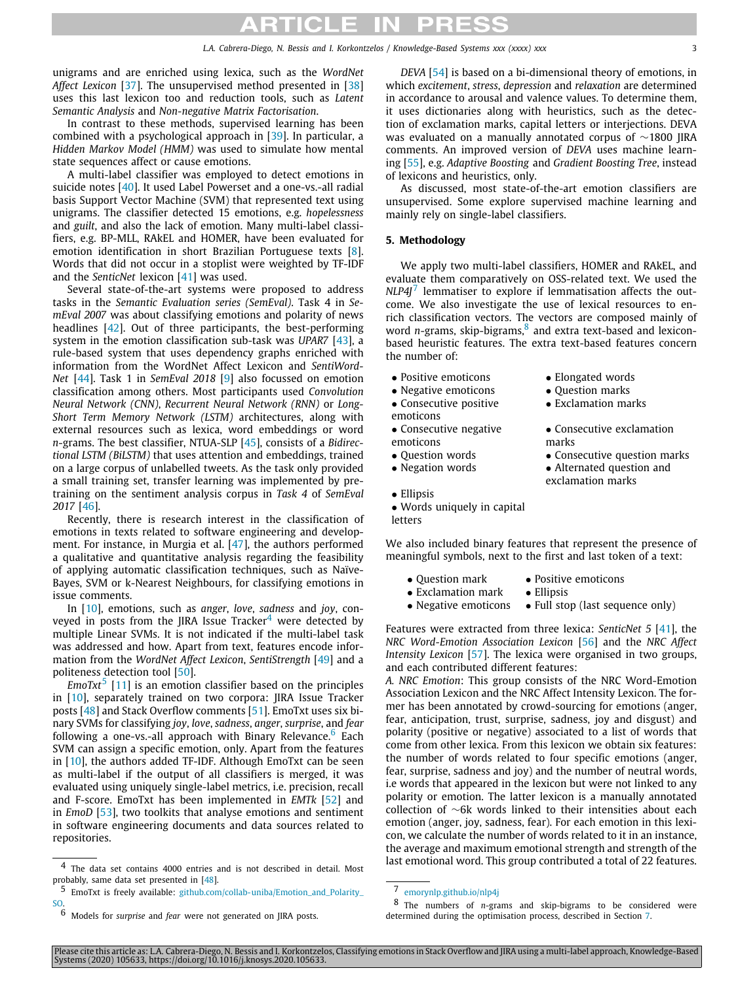unigrams and are enriched using lexica, such as the *WordNet Affect Lexicon* [[37](#page-10-19)]. The unsupervised method presented in [[38\]](#page-10-20) uses this last lexicon too and reduction tools, such as *Latent Semantic Analysis* and *Non-negative Matrix Factorisation*.

In contrast to these methods, supervised learning has been combined with a psychological approach in [[39](#page-10-21)]. In particular, a *Hidden Markov Model (HMM)* was used to simulate how mental state sequences affect or cause emotions.

A multi-label classifier was employed to detect emotions in suicide notes [\[40](#page-10-22)]. It used Label Powerset and a one-vs.-all radial basis Support Vector Machine (SVM) that represented text using unigrams. The classifier detected 15 emotions, e.g. *hopelessness* and *guilt*, and also the lack of emotion. Many multi-label classifiers, e.g. BP-MLL, RAkEL and HOMER, have been evaluated for emotion identification in short Brazilian Portuguese texts [[8\]](#page-9-7). Words that did not occur in a stoplist were weighted by TF-IDF and the *SenticNet* lexicon [\[41\]](#page-10-23) was used.

Several state-of-the-art systems were proposed to address tasks in the *Semantic Evaluation series (SemEval)*. Task 4 in *SemEval 2007* was about classifying emotions and polarity of news headlines [[42](#page-10-24)]. Out of three participants, the best-performing system in the emotion classification sub-task was *UPAR7* [[43](#page-10-25)], a rule-based system that uses dependency graphs enriched with information from the WordNet Affect Lexicon and *SentiWord-Net* [[44](#page-10-26)]. Task 1 in *SemEval 2018* [[9\]](#page-9-8) also focussed on emotion classification among others. Most participants used *Convolution Neural Network (CNN)*, *Recurrent Neural Network (RNN)* or *Long-Short Term Memory Network (LSTM)* architectures, along with external resources such as lexica, word embeddings or word *n*-grams. The best classifier, NTUA-SLP [\[45\]](#page-10-27), consists of a *Bidirectional LSTM (BiLSTM)* that uses attention and embeddings, trained on a large corpus of unlabelled tweets. As the task only provided a small training set, transfer learning was implemented by pretraining on the sentiment analysis corpus in *Task 4* of *SemEval 2017* [[46](#page-10-28)].

Recently, there is research interest in the classification of emotions in texts related to software engineering and development. For instance, in Murgia et al. [\[47\]](#page-10-29), the authors performed a qualitative and quantitative analysis regarding the feasibility of applying automatic classification techniques, such as Naïve-Bayes, SVM or k-Nearest Neighbours, for classifying emotions in issue comments.

In [[10\]](#page-9-9), emotions, such as *anger*, *love*, *sadness* and *joy*, conveyed in posts from the JIRA Issue Tracker $4$  were detected by multiple Linear SVMs. It is not indicated if the multi-label task was addressed and how. Apart from text, features encode information from the *WordNet Affect Lexicon*, *SentiStrength* [[49](#page-10-30)] and a politeness detection tool [[50](#page-10-31)].

<span id="page-2-2"></span>*EmoTxt*[5](#page-2-2) [\[11\]](#page-9-10) is an emotion classifier based on the principles in [\[10\]](#page-9-9), separately trained on two corpora: JIRA Issue Tracker posts [[48](#page-10-32)] and Stack Overflow comments [\[51\]](#page-10-33). EmoTxt uses six binary SVMs for classifying *joy*, *love*, *sadness*, *anger*, *surprise*, and *fear* following a one-vs.-all approach with Binary Relevance. $6$  Each SVM can assign a specific emotion, only. Apart from the features in [[10\]](#page-9-9), the authors added TF-IDF. Although EmoTxt can be seen as multi-label if the output of all classifiers is merged, it was evaluated using uniquely single-label metrics, i.e. precision, recall and F-score. EmoTxt has been implemented in *EMTk* [[52](#page-10-34)] and in *EmoD* [[53\]](#page-10-35), two toolkits that analyse emotions and sentiment in software engineering documents and data sources related to repositories.

*DEVA* [\[54\]](#page-11-0) is based on a bi-dimensional theory of emotions, in which *excitement*, *stress*, *depression* and *relaxation* are determined in accordance to arousal and valence values. To determine them, it uses dictionaries along with heuristics, such as the detection of exclamation marks, capital letters or interjections. DEVA was evaluated on a manually annotated corpus of ∼1800 JIRA comments. An improved version of *DEVA* uses machine learning [[55\]](#page-11-1), e.g. *Adaptive Boosting* and *Gradient Boosting Tree*, instead of lexicons and heuristics, only.

As discussed, most state-of-the-art emotion classifiers are unsupervised. Some explore supervised machine learning and mainly rely on single-label classifiers.

### **5. Methodology**

<span id="page-2-4"></span><span id="page-2-0"></span>We apply two multi-label classifiers, HOMER and RAkEL, and evaluate them comparatively on OSS-related text. We used the *NLP4J*<sup>[7](#page-2-4)</sup> lemmatiser to explore if lemmatisation affects the outcome. We also investigate the use of lexical resources to enrich classification vectors. The vectors are composed mainly of word *n*-grams, skip-bigrams,<sup>[8](#page-2-5)</sup> and extra text-based and lexiconbased heuristic features. The extra text-based features concern the number of:

<span id="page-2-5"></span>• Exclamation marks

exclamation marks

• Consecutive exclamation

- Positive emoticons Elongated words
- Negative emoticons Question marks
- Consecutive positive
- emoticons
- Consecutive negative emoticons
- Question words Consecutive question marks
- Negation words Alternated question and
- Ellipsis
- Words uniquely in capital
- letters

We also included binary features that represent the presence of meaningful symbols, next to the first and last token of a text:

- Question mark Positive emoticons
- Exclamation mark Ellipsis
- Negative emoticons Full stop (last sequence only)

marks

<span id="page-2-1"></span>Features were extracted from three lexica: *SenticNet 5* [\[41\]](#page-10-23), the *NRC Word-Emotion Association Lexicon* [\[56\]](#page-11-2) and the *NRC Affect Intensity Lexicon* [[57](#page-11-3)]. The lexica were organised in two groups, and each contributed different features:

<span id="page-2-3"></span>*A. NRC Emotion*: This group consists of the NRC Word-Emotion Association Lexicon and the NRC Affect Intensity Lexicon. The former has been annotated by crowd-sourcing for emotions (anger, fear, anticipation, trust, surprise, sadness, joy and disgust) and polarity (positive or negative) associated to a list of words that come from other lexica. From this lexicon we obtain six features: the number of words related to four specific emotions (anger, fear, surprise, sadness and joy) and the number of neutral words, i.e words that appeared in the lexicon but were not linked to any polarity or emotion. The latter lexicon is a manually annotated collection of ∼6k words linked to their intensities about each emotion (anger, joy, sadness, fear). For each emotion in this lexicon, we calculate the number of words related to it in an instance, the average and maximum emotional strength and strength of the last emotional word. This group contributed a total of 22 features.

<sup>4</sup> The data set contains 4000 entries and is not described in detail. Most probably, same data set presented in [\[48\]](#page-10-32).

<sup>5</sup> EmoTxt is freely available: [github.com/collab-uniba/Emotion\\_and\\_Polarity\\_](https://github.com/collab-uniba/Emotion_and_Polarity_SO) [SO.](https://github.com/collab-uniba/Emotion_and_Polarity_SO)

<sup>6</sup> Models for *surprise* and *fear* were not generated on JIRA posts.

<sup>7</sup> [emorynlp.github.io/nlp4j](https://emorynlp.github.io/nlp4j/)<br> $\frac{8}{\text{The numbers of } n\text{-erg}$ 

The numbers of *n*-grams and skip-bigrams to be considered were determined during the optimisation process, described in Section [7.](#page-3-1)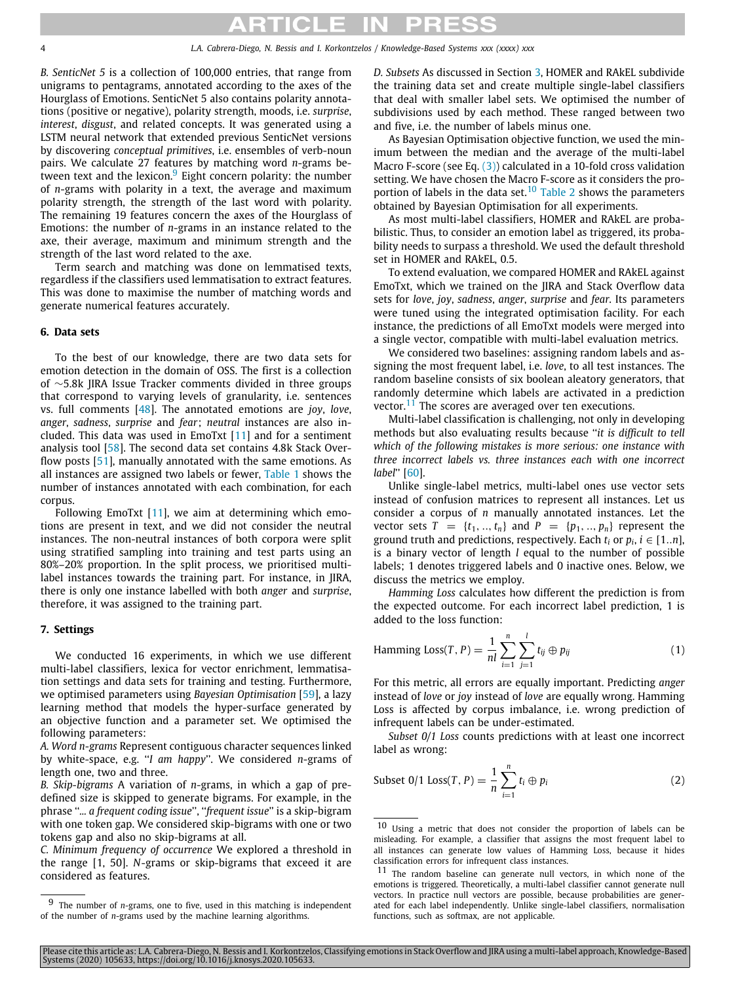*B. SenticNet 5* is a collection of 100,000 entries, that range from unigrams to pentagrams, annotated according to the axes of the Hourglass of Emotions. SenticNet 5 also contains polarity annotations (positive or negative), polarity strength, moods, i.e. *surprise*, *interest*, *disgust*, and related concepts. It was generated using a LSTM neural network that extended previous SenticNet versions by discovering *conceptual primitives*, i.e. ensembles of verb-noun pairs. We calculate 27 features by matching word *n*-grams between text and the lexicon. $9$  Eight concern polarity: the number of *n*-grams with polarity in a text, the average and maximum polarity strength, the strength of the last word with polarity. The remaining 19 features concern the axes of the Hourglass of Emotions: the number of *n*-grams in an instance related to the axe, their average, maximum and minimum strength and the strength of the last word related to the axe.

<span id="page-3-2"></span>Term search and matching was done on lemmatised texts, regardless if the classifiers used lemmatisation to extract features. This was done to maximise the number of matching words and generate numerical features accurately.

### **6. Data sets**

<span id="page-3-0"></span>To the best of our knowledge, there are two data sets for emotion detection in the domain of OSS. The first is a collection of ∼5.8k JIRA Issue Tracker comments divided in three groups that correspond to varying levels of granularity, i.e. sentences vs. full comments [\[48\]](#page-10-32). The annotated emotions are *joy*, *love*, *anger*, *sadness*, *surprise* and *fear*; *neutral* instances are also included. This data was used in EmoTxt [\[11](#page-9-10)] and for a sentiment analysis tool [\[58\]](#page-11-4). The second data set contains 4.8k Stack Overflow posts [\[51\]](#page-10-33), manually annotated with the same emotions. As all instances are assigned two labels or fewer, [Table](#page-4-1) [1](#page-4-1) shows the number of instances annotated with each combination, for each corpus.

Following EmoTxt [\[11\]](#page-9-10), we aim at determining which emotions are present in text, and we did not consider the neutral instances. The non-neutral instances of both corpora were split using stratified sampling into training and test parts using an 80%–20% proportion. In the split process, we prioritised multilabel instances towards the training part. For instance, in JIRA, there is only one instance labelled with both *anger* and *surprise*, therefore, it was assigned to the training part.

### **7. Settings**

<span id="page-3-1"></span>We conducted 16 experiments, in which we use different multi-label classifiers, lexica for vector enrichment, lemmatisation settings and data sets for training and testing. Furthermore, we optimised parameters using *Bayesian Optimisation* [[59](#page-11-5)], a lazy learning method that models the hyper-surface generated by an objective function and a parameter set. We optimised the following parameters:

*A. Word n-grams* Represent contiguous character sequences linked by white-space, e.g. ''*I am happy*''. We considered *n*-grams of length one, two and three.

*B. Skip-bigrams* A variation of *n*-grams, in which a gap of predefined size is skipped to generate bigrams. For example, in the phrase ''*... a frequent coding issue*'', ''*frequent issue*'' is a skip-bigram with one token gap. We considered skip-bigrams with one or two tokens gap and also no skip-bigrams at all.

*C. Minimum frequency of occurrence* We explored a threshold in the range [1, 50]. *N*-grams or skip-bigrams that exceed it are considered as features.

*D. Subsets* As discussed in Section [3](#page-1-2), HOMER and RAkEL subdivide the training data set and create multiple single-label classifiers that deal with smaller label sets. We optimised the number of subdivisions used by each method. These ranged between two and five, i.e. the number of labels minus one.

As Bayesian Optimisation objective function, we used the minimum between the median and the average of the multi-label Macro F-score (see Eq.  $(3)$  $(3)$ ) calculated in a 10-fold cross validation setting. We have chosen the Macro F-score as it considers the pro-portion of labels in the data set.<sup>[10](#page-3-3)</sup> [Table](#page-4-3) [2](#page-4-3) shows the parameters obtained by Bayesian Optimisation for all experiments.

<span id="page-3-3"></span>As most multi-label classifiers, HOMER and RAkEL are probabilistic. Thus, to consider an emotion label as triggered, its probability needs to surpass a threshold. We used the default threshold set in HOMER and RAkEL, 0.5.

To extend evaluation, we compared HOMER and RAkEL against EmoTxt, which we trained on the JIRA and Stack Overflow data sets for *love*, *joy*, *sadness*, *anger*, *surprise* and *fear*. Its parameters were tuned using the integrated optimisation facility. For each instance, the predictions of all EmoTxt models were merged into a single vector, compatible with multi-label evaluation metrics.

We considered two baselines: assigning random labels and assigning the most frequent label, i.e. *love*, to all test instances. The random baseline consists of six boolean aleatory generators, that randomly determine which labels are activated in a prediction vector. $11$  The scores are averaged over ten executions.

<span id="page-3-4"></span>Multi-label classification is challenging, not only in developing methods but also evaluating results because ''*it is difficult to tell which of the following mistakes is more serious: one instance with three incorrect labels vs. three instances each with one incorrect label*'' [[60](#page-11-6)].

Unlike single-label metrics, multi-label ones use vector sets instead of confusion matrices to represent all instances. Let us consider a corpus of *n* manually annotated instances. Let the vector sets  $T = \{t_1, ..., t_n\}$  and  $P = \{p_1, ..., p_n\}$  represent the ground truth and predictions, respectively. Each  $t_i$  or  $p_i$ ,  $i \in [1..n]$ , is a binary vector of length *l* equal to the number of possible labels; 1 denotes triggered labels and 0 inactive ones. Below, we discuss the metrics we employ.

*Hamming Loss* calculates how different the prediction is from the expected outcome. For each incorrect label prediction, 1 is added to the loss function:

Hamming Loss
$$
(T, P) = \frac{1}{n!} \sum_{i=1}^{n} \sum_{j=1}^{l} t_{ij} \oplus p_{ij}
$$
 (1)

For this metric, all errors are equally important. Predicting *anger* instead of *love* or *joy* instead of *love* are equally wrong. Hamming Loss is affected by corpus imbalance, i.e. wrong prediction of infrequent labels can be under-estimated.

*Subset 0/1 Loss* counts predictions with at least one incorrect label as wrong:

$$
\text{Subset } 0/1 \text{ Loss}(T, P) = \frac{1}{n} \sum_{i=1}^{n} t_i \oplus p_i \tag{2}
$$

Please cite this article as: L.A. Cabrera-Diego, N. Bessis and I. Korkontzelos, Classifying emotions in Stack Overflow and JIRA using a multi-label approach, Knowledge-Based Systems (2020) 105633, https://doi.org/10.1016/j.knosys.2020.105633.

<sup>9</sup> The number of *n*-grams, one to five, used in this matching is independent of the number of *n*-grams used by the machine learning algorithms.

<sup>10</sup> Using a metric that does not consider the proportion of labels can be misleading. For example, a classifier that assigns the most frequent label to all instances can generate low values of Hamming Loss, because it hides classification errors for infrequent class instances.

<sup>11</sup> The random baseline can generate null vectors, in which none of the emotions is triggered. Theoretically, a multi-label classifier cannot generate null vectors. In practice null vectors are possible, because probabilities are generated for each label independently. Unlike single-label classifiers, normalisation functions, such as softmax, are not applicable.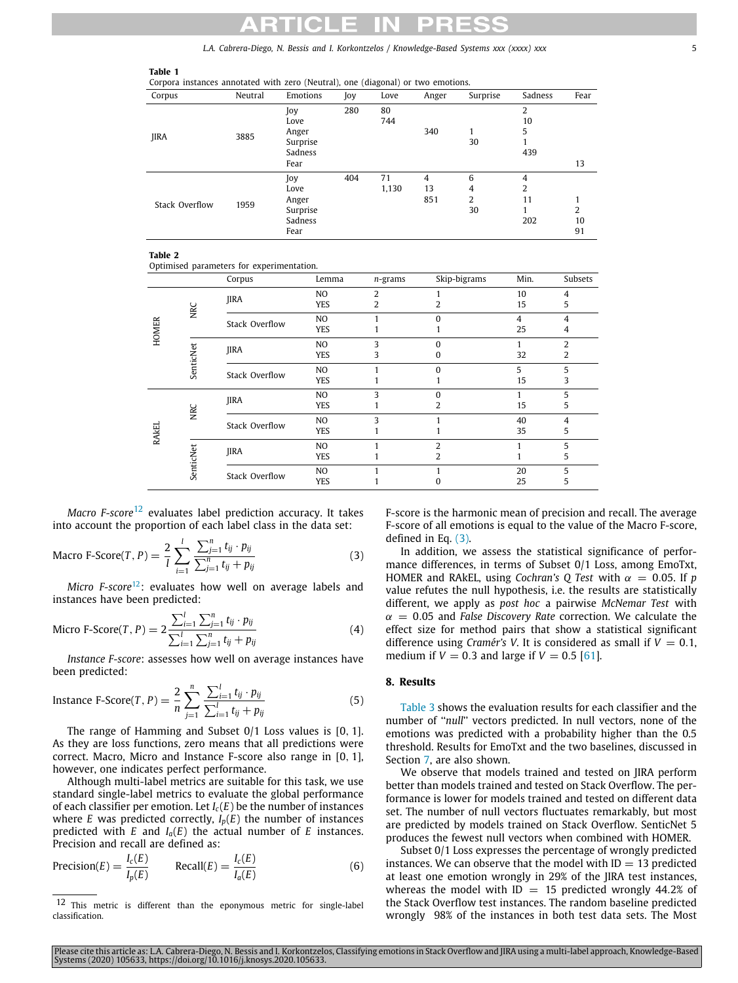<span id="page-4-1"></span>

| Table 1                                                                          |         |          |     |       |                |          |                |      |  |  |  |
|----------------------------------------------------------------------------------|---------|----------|-----|-------|----------------|----------|----------------|------|--|--|--|
| Corpora instances annotated with zero (Neutral), one (diagonal) or two emotions. |         |          |     |       |                |          |                |      |  |  |  |
| Corpus                                                                           | Neutral | Emotions | Joy | Love  | Anger          | Surprise | Sadness        | Fear |  |  |  |
|                                                                                  |         | Joy      | 280 | 80    |                |          | $\overline{2}$ |      |  |  |  |
|                                                                                  |         | Love     |     | 744   |                |          | 10             |      |  |  |  |
|                                                                                  |         | Anger    |     |       | 340            |          | 5              |      |  |  |  |
| <b>JIRA</b>                                                                      | 3885    | Surprise |     |       |                | 30       |                |      |  |  |  |
|                                                                                  |         | Sadness  |     |       |                |          | 439            |      |  |  |  |
|                                                                                  |         | Fear     |     |       |                |          |                | 13   |  |  |  |
|                                                                                  |         | Joy      | 404 | 71    | $\overline{4}$ | 6        | $\overline{4}$ |      |  |  |  |
|                                                                                  |         | Love     |     | 1,130 | 13             | 4        | 2              |      |  |  |  |
|                                                                                  |         | Anger    |     |       | 851            | 2        | 11             |      |  |  |  |
| Stack Overflow                                                                   | 1959    | Surprise |     |       |                | 30       |                | 2    |  |  |  |
|                                                                                  |         | Sadness  |     |       |                |          | 202            | 10   |  |  |  |
|                                                                                  |         | Fear     |     |       |                |          |                | 91   |  |  |  |
|                                                                                  |         |          |     |       |                |          |                |      |  |  |  |

|--|--|

Optimised parameters for experimentation.

<span id="page-4-3"></span>

|              |           | Corpus                | Lemma          | $n$ -grams | Skip-bigrams   | Min. | Subsets        |
|--------------|-----------|-----------------------|----------------|------------|----------------|------|----------------|
|              |           | <b>JIRA</b>           | NO             | 2          |                | 10   | 4              |
|              | NRC       |                       | <b>YES</b>     | 2          | 2              | 15   | 5              |
|              |           | <b>Stack Overflow</b> | N <sub>O</sub> |            | $\Omega$       | 4    | 4              |
| <b>HOMER</b> |           |                       | YES            |            |                | 25   | 4              |
|              |           | <b>JIRA</b>           | NO.            | 3          | $\Omega$       | 1    | $\overline{2}$ |
|              | SenticNet |                       | <b>YES</b>     | 3          | 0              | 32   | 2              |
|              |           | <b>Stack Overflow</b> | N <sub>O</sub> |            | $\Omega$       | 5    | 5              |
|              |           |                       | <b>YES</b>     |            |                | 15   | 3              |
|              |           | <b>JIRA</b>           | N <sub>O</sub> | 3          | $\Omega$       | 1    | 5              |
|              | NRC       |                       | <b>YES</b>     |            | 2              | 15   | 5              |
|              |           | <b>Stack Overflow</b> | NO.            | 3          |                | 40   | 4              |
| <b>RAKEL</b> |           |                       | <b>YES</b>     |            |                | 35   | 5              |
|              |           | <b>JIRA</b>           | N <sub>O</sub> |            | $\mathfrak{D}$ |      | 5              |
|              | SenticNet |                       | <b>YES</b>     |            | 2              |      | 5              |
|              |           | <b>Stack Overflow</b> | NO.            |            | 1              | 20   | 5              |
|              |           |                       | <b>YES</b>     |            | 0              | 25   | 5              |

<span id="page-4-4"></span>*Macro F-score*[12](#page-4-4) evaluates label prediction accuracy. It takes into account the proportion of each label class in the data set:

$$
\text{Maccro F-Score}(T, P) = \frac{2}{l} \sum_{i=1}^{l} \frac{\sum_{j=1}^{n} t_{ij} \cdot p_{ij}}{\sum_{j=1}^{n} t_{ij} + p_{ij}} \tag{3}
$$

*Micro F-score*[12](#page-4-4): evaluates how well on average labels and instances have been predicted:

Micro F-Score(T, P) = 
$$
2 \frac{\sum_{i=1}^{l} \sum_{j=1}^{n} t_{ij} \cdot p_{ij}}{\sum_{i=1}^{l} \sum_{j=1}^{n} t_{ij} + p_{ij}}
$$
(4)

*Instance F-score*: assesses how well on average instances have been predicted:

$$
\text{Instance F-Score}(T, P) = \frac{2}{n} \sum_{j=1}^{n} \frac{\sum_{i=1}^{l} t_{ij} \cdot p_{ij}}{\sum_{i=1}^{l} t_{ij} + p_{ij}} \tag{5}
$$

The range of Hamming and Subset 0/1 Loss values is [0, 1]. As they are loss functions, zero means that all predictions were correct. Macro, Micro and Instance F-score also range in [0, 1], however, one indicates perfect performance.

Although multi-label metrics are suitable for this task, we use standard single-label metrics to evaluate the global performance of each classifier per emotion. Let  $I_c(E)$  be the number of instances where  $E$  was predicted correctly,  $I_p(E)$  the number of instances predicted with  $E$  and  $I_a(E)$  the actual number of  $E$  instances. Precision and recall are defined as:

$$
\text{Precision}(E) = \frac{I_c(E)}{I_p(E)} \qquad \text{Recall}(E) = \frac{I_c(E)}{I_a(E)} \tag{6}
$$

F-score is the harmonic mean of precision and recall. The average F-score of all emotions is equal to the value of the Macro F-score, defined in Eq. ([3\)](#page-4-2).

<span id="page-4-2"></span>In addition, we assess the statistical significance of performance differences, in terms of Subset 0/1 Loss, among EmoTxt, HOMER and RAkEL, using *Cochran's Q Test* with  $\alpha = 0.05$ . If *p* value refutes the null hypothesis, i.e. the results are statistically different, we apply as *post hoc* a pairwise *McNemar Test* with  $\alpha$  = 0.05 and *False Discovery Rate* correction. We calculate the effect size for method pairs that show a statistical significant difference using *Cramér's V*. It is considered as small if  $V = 0.1$ , medium if  $V = 0.3$  and large if  $V = 0.5$  [[61](#page-11-7)].

# **8. Results**

<span id="page-4-0"></span>[Table](#page-5-0) [3](#page-5-0) shows the evaluation results for each classifier and the number of ''*null*'' vectors predicted. In null vectors, none of the emotions was predicted with a probability higher than the 0.5 threshold. Results for EmoTxt and the two baselines, discussed in Section [7](#page-3-1), are also shown.

We observe that models trained and tested on JIRA perform better than models trained and tested on Stack Overflow. The performance is lower for models trained and tested on different data set. The number of null vectors fluctuates remarkably, but most are predicted by models trained on Stack Overflow. SenticNet 5 produces the fewest null vectors when combined with HOMER.

Subset 0/1 Loss expresses the percentage of wrongly predicted instances. We can observe that the model with  $ID = 13$  predicted at least one emotion wrongly in 29% of the JIRA test instances, whereas the model with ID = 15 predicted wrongly 44.2% of the Stack Overflow test instances. The random baseline predicted wrongly 98% of the instances in both test data sets. The Most

Please cite this article as: L.A. Cabrera-Diego, N. Bessis and I. Korkontzelos, Classifying emotions in Stack Overflow and JIRA using a multi-label approach, Knowledge-Based<br>Systems (2020) 105633, https://doi.org/10.1016/j

<sup>12</sup> This metric is different than the eponymous metric for single-label classification.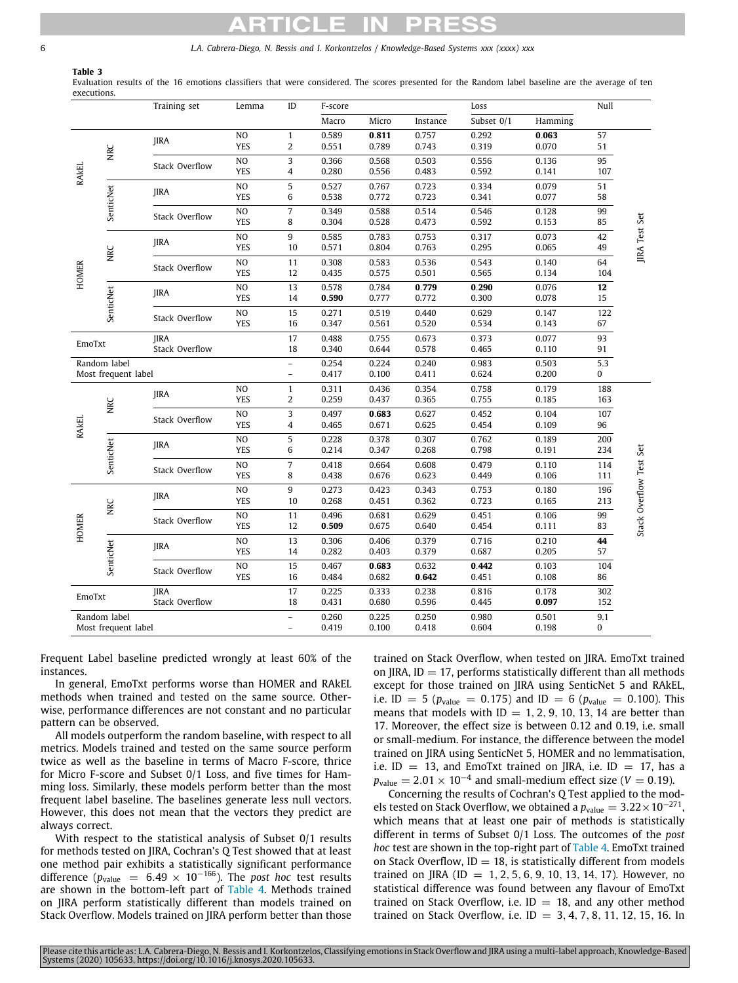# <span id="page-5-0"></span>**Table 3**

Evaluation results of the 16 emotions classifiers that were considered. The scores presented for the Random label baseline are the average of ten executions.

|                                                |           | Training set                         | Lemma                        | ID                                         | F-score        |                |                | Loss           | Null           |            |                         |
|------------------------------------------------|-----------|--------------------------------------|------------------------------|--------------------------------------------|----------------|----------------|----------------|----------------|----------------|------------|-------------------------|
|                                                |           |                                      |                              |                                            | Macro          | Micro          | Instance       | Subset 0/1     | Hamming        |            |                         |
| RAKEL                                          | NRC       | <b>JIRA</b>                          | N <sub>O</sub><br><b>YES</b> | $\mathbf{1}$<br>$\overline{2}$             | 0.589<br>0.551 | 0.811<br>0.789 | 0.757<br>0.743 | 0.292<br>0.319 | 0.063<br>0.070 | 57<br>51   |                         |
|                                                |           | <b>Stack Overflow</b>                | N <sub>O</sub><br><b>YES</b> | 3<br>4                                     | 0.366<br>0.280 | 0.568<br>0.556 | 0.503<br>0.483 | 0.556<br>0.592 | 0.136<br>0.141 | 95<br>107  |                         |
|                                                | SenticNet | <b>JIRA</b>                          | N <sub>O</sub><br><b>YES</b> | 5<br>6                                     | 0.527<br>0.538 | 0.767<br>0.772 | 0.723<br>0.723 | 0.334<br>0.341 | 0.079<br>0.077 | 51<br>58   |                         |
|                                                |           | <b>Stack Overflow</b>                | N <sub>O</sub><br><b>YES</b> | $\overline{7}$<br>8                        | 0.349<br>0.304 | 0.588<br>0.528 | 0.514<br>0.473 | 0.546<br>0.592 | 0.128<br>0.153 | 99<br>85   |                         |
|                                                | NRC       | <b>JIRA</b>                          | N <sub>O</sub><br><b>YES</b> | $\boldsymbol{9}$<br>10                     | 0.585<br>0.571 | 0.783<br>0.804 | 0.753<br>0.763 | 0.317<br>0.295 | 0.073<br>0.065 | 42<br>49   | JIRA Test Set           |
| <b>HOMER</b>                                   |           | <b>Stack Overflow</b>                | N <sub>O</sub><br><b>YES</b> | 11<br>12                                   | 0.308<br>0.435 | 0.583<br>0.575 | 0.536<br>0.501 | 0.543<br>0.565 | 0.140<br>0.134 | 64<br>104  |                         |
|                                                | SenticNet | <b>IIRA</b>                          | N <sub>O</sub><br><b>YES</b> | 13<br>14                                   | 0.578<br>0.590 | 0.784<br>0.777 | 0.779<br>0.772 | 0.290<br>0.300 | 0.076<br>0.078 | 12<br>15   |                         |
|                                                |           | <b>Stack Overflow</b>                | N <sub>O</sub><br><b>YES</b> | 15<br>16                                   | 0.271<br>0.347 | 0.519<br>0.561 | 0.440<br>0.520 | 0.629<br>0.534 | 0.147<br>0.143 | 122<br>67  |                         |
| <b>JIRA</b><br>EmoTxt<br><b>Stack Overflow</b> |           |                                      |                              | 17<br>18                                   | 0.488<br>0.340 | 0.755<br>0.644 | 0.673<br>0.578 | 0.373<br>0.465 | 0.077<br>0.110 | 93<br>91   |                         |
| Random label<br>Most frequent label            |           |                                      |                              | $\overline{a}$<br>$\qquad \qquad -$        | 0.254<br>0.417 | 0.224<br>0.100 | 0.240<br>0.411 | 0.983<br>0.624 | 0.503<br>0.200 | 5.3<br>0   |                         |
|                                                | NRC       | <b>IIRA</b>                          | N <sub>O</sub><br><b>YES</b> | $\mathbf{1}$<br>$\overline{2}$             | 0.311<br>0.259 | 0.436<br>0.437 | 0.354<br>0.365 | 0.758<br>0.755 | 0.179<br>0.185 | 188<br>163 |                         |
| RAKEL                                          |           | <b>Stack Overflow</b>                | N <sub>O</sub><br><b>YES</b> | 3<br>4                                     | 0.497<br>0.465 | 0.683<br>0.671 | 0.627<br>0.625 | 0.452<br>0.454 | 0.104<br>0.109 | 107<br>96  |                         |
|                                                | SenticNet | <b>JIRA</b>                          | N <sub>O</sub><br><b>YES</b> | 5<br>$\,6$                                 | 0.228<br>0.214 | 0.378<br>0.347 | 0.307<br>0.268 | 0.762<br>0.798 | 0.189<br>0.191 | 200<br>234 |                         |
|                                                |           | <b>Stack Overflow</b>                | N <sub>O</sub><br><b>YES</b> | $\overline{7}$<br>8                        | 0.418<br>0.438 | 0.664<br>0.676 | 0.608<br>0.623 | 0.479<br>0.449 | 0.110<br>0.106 | 114<br>111 | Stack Overflow Test Set |
|                                                | NRC       | <b>JIRA</b>                          | N <sub>O</sub><br><b>YES</b> | 9<br>10                                    | 0.273<br>0.268 | 0.423<br>0.451 | 0.343<br>0.362 | 0.753<br>0.723 | 0.180<br>0.165 | 196<br>213 |                         |
| <b>HOMER</b>                                   |           | <b>Stack Overflow</b>                | N <sub>O</sub><br><b>YES</b> | 11<br>12                                   | 0.496<br>0.509 | 0.681<br>0.675 | 0.629<br>0.640 | 0.451<br>0.454 | 0.106<br>0.111 | 99<br>83   |                         |
|                                                | SenticNet | <b>JIRA</b>                          | N <sub>O</sub><br><b>YES</b> | 13<br>14                                   | 0.306<br>0.282 | 0.406<br>0.403 | 0.379<br>0.379 | 0.716<br>0.687 | 0.210<br>0.205 | 44<br>57   |                         |
|                                                |           | <b>Stack Overflow</b>                | N <sub>O</sub><br><b>YES</b> | 15<br>16                                   | 0.467<br>0.484 | 0.683<br>0.682 | 0.632<br>0.642 | 0.442<br>0.451 | 0.103<br>0.108 | 104<br>86  |                         |
| EmoTxt                                         |           | <b>IIRA</b><br><b>Stack Overflow</b> |                              | 17<br>18                                   | 0.225<br>0.431 | 0.333<br>0.680 | 0.238<br>0.596 | 0.816<br>0.445 | 0.178<br>0.097 | 302<br>152 |                         |
| Random label<br>Most frequent label            |           |                                      |                              | $\overline{a}$<br>$\overline{\phantom{0}}$ | 0.260<br>0.419 | 0.225<br>0.100 | 0.250<br>0.418 | 0.980<br>0.604 | 0.501<br>0.198 | 9.1<br>0   |                         |

Frequent Label baseline predicted wrongly at least 60% of the instances.

In general, EmoTxt performs worse than HOMER and RAkEL methods when trained and tested on the same source. Otherwise, performance differences are not constant and no particular pattern can be observed.

All models outperform the random baseline, with respect to all metrics. Models trained and tested on the same source perform twice as well as the baseline in terms of Macro F-score, thrice for Micro F-score and Subset 0/1 Loss, and five times for Hamming loss. Similarly, these models perform better than the most frequent label baseline. The baselines generate less null vectors. However, this does not mean that the vectors they predict are always correct.

With respect to the statistical analysis of Subset 0/1 results for methods tested on JIRA, Cochran's Q Test showed that at least one method pair exhibits a statistically significant performance difference ( $p_{value}$  = 6.49 × 10<sup>-166</sup>). The *post hoc* test results are shown in the bottom-left part of [Table](#page-6-0) [4](#page-6-0). Methods trained on JIRA perform statistically different than models trained on Stack Overflow. Models trained on JIRA perform better than those trained on Stack Overflow, when tested on JIRA. EmoTxt trained on JIRA, ID  $= 17$ , performs statistically different than all methods except for those trained on JIRA using SenticNet 5 and RAkEL, i.e. ID = 5 ( $p_{value}$  = 0.175) and ID = 6 ( $p_{value}$  = 0.100). This means that models with  $ID = 1, 2, 9, 10, 13, 14$  are better than 17. Moreover, the effect size is between 0.12 and 0.19, i.e. small or small-medium. For instance, the difference between the model trained on JIRA using SenticNet 5, HOMER and no lemmatisation, i.e. ID = 13, and EmoTxt trained on JIRA, i.e. ID = 17, has a  $p_{value} = 2.01 \times 10^{-4}$  and small-medium effect size (*V* = 0.19).

Concerning the results of Cochran's Q Test applied to the models tested on Stack Overflow, we obtained a  $p_{value} = 3.22 \times 10^{-271}$ , which means that at least one pair of methods is statistically different in terms of Subset 0/1 Loss. The outcomes of the *post hoc* test are shown in the top-right part of [Table](#page-6-0) [4.](#page-6-0) EmoTxt trained on Stack Overflow,  $ID = 18$ , is statistically different from models trained on JIRA (ID = 1, 2, 5, 6, 9, 10, 13, 14, 17). However, no statistical difference was found between any flavour of EmoTxt trained on Stack Overflow, i.e.  $ID = 18$ , and any other method trained on Stack Overflow, i.e. ID =  $3, 4, 7, 8, 11, 12, 15, 16$ . In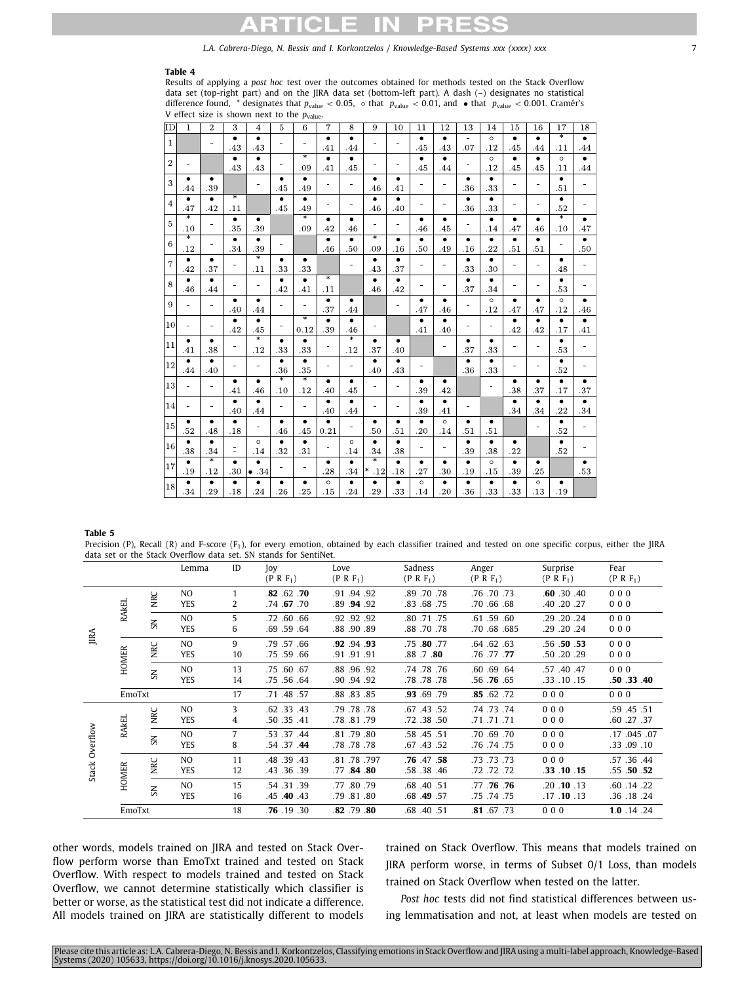### **Table 4**

Results of applying a *post hoc* test over the outcomes obtained for methods tested on the Stack Overflow data set (top-right part) and on the JIRA data set (bottom-left part). A dash (–) designates no statistical<br>difference found, \* designates that p<sub>value</sub> < 0.05, 0 that p<sub>value</sub> < 0.01, and • that p<sub>value</sub> < 0.001. Cram V effect size is shown next to the *p*value.

<span id="page-6-0"></span>

| ΙD             | 1                        | $\overline{2}$   | 3                    | 4                        | 5                | 6                        | 7                | 8                | 9                 | 10               | 11               | 12               | 13               | 14               | 15               | 16               | 17               | $\overline{18}$  |
|----------------|--------------------------|------------------|----------------------|--------------------------|------------------|--------------------------|------------------|------------------|-------------------|------------------|------------------|------------------|------------------|------------------|------------------|------------------|------------------|------------------|
| $\mathbf{1}$   |                          |                  | $\bullet$<br>.43     | ٠<br>.43                 |                  |                          | ٠<br>.41         | ٠<br>.44         |                   |                  | .45              | .43              | .07              | $\circ$<br>.12   | .45              | ٠<br>.44         | ∗<br>.11         | .44              |
| $\overline{2}$ |                          |                  | $\bullet$            | $\bullet$                |                  | ∗                        | $\bullet$        | $\bullet$        |                   |                  | ٠                | $\bullet$        |                  | $\circ$          | $\bullet$        | $\bullet$        | $\circ$          | $\bullet$        |
|                |                          |                  | .43                  | .43                      |                  | .09                      | .41              | .45              |                   |                  | .45              | .44              |                  | .12              | .45              | .45              | .11              | .44              |
| 3              | ٠<br>.44                 | $\bullet$<br>.39 |                      |                          | ٠<br>.45         | $\bullet$<br>.49         |                  |                  | ٠<br>.46          | ٠<br>.41         |                  |                  | ٠<br>.36         | ٠<br>.33         |                  |                  | $\bullet$<br>.51 |                  |
| $\overline{4}$ | ٠<br>.47                 | ٠<br>.42         | ⋇<br>.11             |                          | $\bullet$<br>.45 | ٠<br>.49                 |                  |                  | $\bullet$<br>.46  | ٠<br>.40         |                  |                  | ٠<br>.36         | $\bullet$<br>.33 |                  |                  | ٠<br>.52         |                  |
| $\overline{5}$ | $\ast$<br>.10            |                  | ٠<br>.35             | ٠<br>.39                 |                  | ∗<br>.09                 | ٠<br>.42         | ٠<br>.46         |                   |                  | ٠<br>.46         | ٠<br>.45         |                  | ٠<br>.14         | ٠<br>.47         | ٠<br>.46         | $\ast$<br>.10    | .47              |
| 6              | $\overline{\ast}$<br>.12 |                  | ٠<br>.34             | ٠<br>.39                 |                  |                          | ٠<br>.46         | ٠<br>.50         | ∗<br>.09          | $\bullet$<br>.16 | ٠<br>.50         | $\bullet$<br>.49 | $\bullet$<br>.16 | $\bullet$<br>.22 | $\bullet$<br>.51 | $\bullet$<br>.51 |                  | $\bullet$<br>.50 |
| $\overline{7}$ | ٠<br>.42                 | ٠<br>.37         |                      | $\overline{\ast}$<br>.11 | $\bullet$<br>.33 | $\bullet$<br>.33         |                  |                  | ٠<br>.43          | $\bullet$<br>.37 |                  |                  | ٠<br>.33         | $\bullet$<br>.30 |                  |                  | $\bullet$<br>.48 |                  |
| 8              | ٠<br>.46                 | ٠<br>.44         |                      |                          | ٠<br>.42         | $\bullet$<br>.41         | ₮<br>.11         |                  | $\bullet$<br>.46  | ٠<br>.42         |                  |                  | $\bullet$<br>.37 | $\bullet$<br>.34 |                  |                  | $\bullet$<br>.53 |                  |
| 9              |                          |                  | $\bullet$<br>.40     | ٠<br>.44                 |                  |                          | ٠<br>.37         | ٠<br>.44         |                   |                  | ٠<br>.47         | ٠<br>.46         |                  | $\circ$<br>.12   | $\bullet$<br>.47 | $\bullet$<br>.47 | $\circ$<br>.12   | ٠<br>.46         |
| 10             |                          |                  | ٠<br>.42             | $\bullet$<br>.45         |                  | $\ast$<br>0.12           | $\bullet$<br>.39 | ٠<br>.46         |                   |                  | $\bullet$<br>.41 | ٠<br>.40         |                  |                  | ٠<br>.42         | $\bullet$<br>.42 | $\bullet$<br>.17 | $\bullet$<br>.41 |
| 11             | ٠<br>.41                 | $\bullet$<br>.38 |                      | ₮<br>.12                 | ٠<br>.33         | ٠<br>.33                 |                  | ⋇<br>.12         | $\bullet$<br>.37  | $\bullet$<br>.40 |                  |                  | ٠<br>.37         | ٠<br>.33         |                  |                  | ٠<br>.53         |                  |
| 12             | .44                      | ٠<br>.40         |                      |                          | ٠<br>.36         | ٠<br>.35                 |                  |                  | ٠<br>.40          | ٠<br>.43         |                  |                  | .36              | ٠<br>.33         |                  |                  | .52              |                  |
| 13             |                          |                  | ٠<br>.41             | $\bullet$<br>.46         | ₮<br>.10         | $\overline{\ast}$<br>.12 | $\bullet$<br>.40 | ٠<br>.45         |                   |                  | .39              | .42              |                  |                  | .38              | ٠<br>.37         | ٠<br>.17         | .37              |
| 14             |                          |                  | $\bullet$<br>.40     | ٠<br>.44                 |                  |                          | ٠<br>.40         | $\bullet$<br>.44 |                   |                  | ٠<br>.39         | $\bullet$<br>.41 |                  |                  | ٠<br>.34         | $\bullet$<br>.34 | ٠<br>.22         | ٠<br>.34         |
| 15             | .52                      | $\bullet$<br>.48 | .18                  |                          | $\bullet$<br>.46 | ٠<br>.45                 | 0.21             |                  | .50               | .51              | .20              | $\circ$<br>.14   | ٠<br>.51         | .51              |                  |                  | ٠<br>.52         |                  |
| 16             | ٠<br>.38                 | $\bullet$<br>.34 | Ξ                    | $\circ$<br>.14           | ٠<br>.32         | ٠<br>.31                 |                  | $\circ$<br>.14   | $\bullet$<br>.34  | $\bullet$<br>.38 |                  |                  | ٠<br>.39         | ٠<br>.38         | ٠<br>.22         |                  | $\bullet$<br>.52 |                  |
| 17             | .19                      | $\ast$<br>.12    | $\bullet$<br>$.30\,$ | ٠<br>$\bullet$ .34       |                  | -                        | ٠<br>.28         | ٠<br>.34         | $\ast$<br>$*$ .12 | ٠<br>.18         | ٠<br>.27         | ٠<br>.30         | ٠<br>.19         | $\circ$<br>.15   | ٠<br>.39         | ٠<br>.25         |                  | .53              |
| 18             | .34                      | .29              | .18                  | .24                      | .26              | .25                      | $\circ$<br>.15   | .24              | .29               | .33              | $\circ$<br>.14   | .20              | .36              | .33              | .33              | $\circ$<br>.13   | .19              |                  |

### **Table 5**

<span id="page-6-1"></span>Precision (P), Recall (R) and F-score (F<sub>1</sub>), for every emotion, obtained by each classifier trained and tested on one specific corpus, either the JIRA data set or the Stack Overflow data set. SN stands for SentiNet.

|          |              |                    | Lemma          | ID | Joy               | Love        | Sadness     | Anger       | Surprise          | Fear           |
|----------|--------------|--------------------|----------------|----|-------------------|-------------|-------------|-------------|-------------------|----------------|
|          |              |                    |                |    | $(P R F_1)$       | $(P R F_1)$ | $(P R F_1)$ | $(P R F_1)$ | $(P R F_1)$       | $(P R F_1)$    |
|          |              | NRC                | N <sub>O</sub> |    | $.82$ $.62$ $.70$ | .91 .94 .92 | .89.07.0.38 | .76 .70 .73 | $.60$ $.30$ $.40$ | 000            |
|          | <b>RAKEL</b> |                    | <b>YES</b>     | 2  | .74 .67 .70       | .89.94.92   | .83 .68 .75 | .70 .66 .68 | .40 .20 .27       | 000            |
|          |              | SS                 | NO.            | 5  | .72 .60 .66       | .92 .92 .92 | .80 .71 .75 | .61 .59 .60 | .29 .20 .24       | 000            |
| JIRA     |              |                    | YES            | 6  | .69.59.64         | .88.00.89   | .88.07.8    | .70.68.85   | .29 .20 .24       | 000            |
|          |              |                    | NO.            | 9  | .79.57.66         | .92 .94 .93 | .75 .80 .77 | .64 .62 .63 | .56 .50 .53       | 000            |
|          | <b>HOMER</b> | <b>NRC</b>         | YES            | 10 | .75 .59 .66       | .91 .91 .91 | .88 .7 .80  | .76 .77 .77 | .50 .20 .29       | 000            |
|          |              | $\overline{\rm S}$ | NO.            | 13 | .75 .60 .67       | .88.96.92   | .74 .78 .76 | .60 .69 .64 | .57 .40 .47       | 000            |
|          |              |                    | <b>YES</b>     | 14 | .75 .56 .64       | .90.94.92   | .78.78.78   | .56 .76 .65 | .33.10.15         | .50 .33 .40    |
|          | EmoTxt       |                    |                | 17 | .71 .48 .57       | .88.83.85   | .93 .69 .79 | .85 .62 .72 | 000               | 000            |
|          |              | NRC                | N <sub>O</sub> | 3  | $.62$ $.33$ $.43$ | .79.78.78   | .67 .43 .52 | .74 .73 .74 | 000               | .59 .45 .51    |
|          | <b>RAKEL</b> |                    | <b>YES</b>     | 4  | .50 .35 .41       | .78.81.79   | .72 .38 .50 | .71 .71 .71 | 000               | .60 .27 .37    |
|          |              | $\overline{\rm S}$ | NO.            | 7  | .53 .37 .44       | .81 .79 .80 | .58 .45 .51 | .70 .69 .70 | 000               | .17.045.07     |
| Overflow |              |                    | <b>YES</b>     | 8  | .54 .37 .44       | .78.78.78   | .67 .43 .52 | .76 .74 .75 | 000               | .33 .09 .10    |
|          |              | <b>NRC</b>         | NO.            | 11 | .48.39.43         | .81.78.797  | .76 .47 .58 | .73 .73 .73 | 000               | .57 .36 .44    |
| Stack    |              |                    | YES            | 12 | .43.36.39         | .77 .84 .80 | .58.38.46   | .72 .72 .72 | .33 .10 .15       | .55 .50 .52    |
|          | HOMER        | $\overline{\rm S}$ | NO.            | 15 | .54 .31 .39       | .77.80.79   | .68 .40 .51 | .77 .76 .76 | $.20$ . 10 $.13$  | .60 .14 .22    |
|          |              |                    | YES            | 16 | .45 .40 .43       | .79.81.80   | .68 .49 .57 | .75 .74 .75 | .17.10.13         | .36 .18 .24    |
|          | EmoTxt       |                    |                | 18 | .76 .19 .30       | .82 .79 .80 | .68 .40 .51 | .81 .67 .73 | 000               | $1.0$ . 14. 24 |

other words, models trained on JIRA and tested on Stack Overflow perform worse than EmoTxt trained and tested on Stack Overflow. With respect to models trained and tested on Stack Overflow, we cannot determine statistically which classifier is better or worse, as the statistical test did not indicate a difference. All models trained on JIRA are statistically different to models

trained on Stack Overflow. This means that models trained on JIRA perform worse, in terms of Subset 0/1 Loss, than models trained on Stack Overflow when tested on the latter.

*Post hoc* tests did not find statistical differences between using lemmatisation and not, at least when models are tested on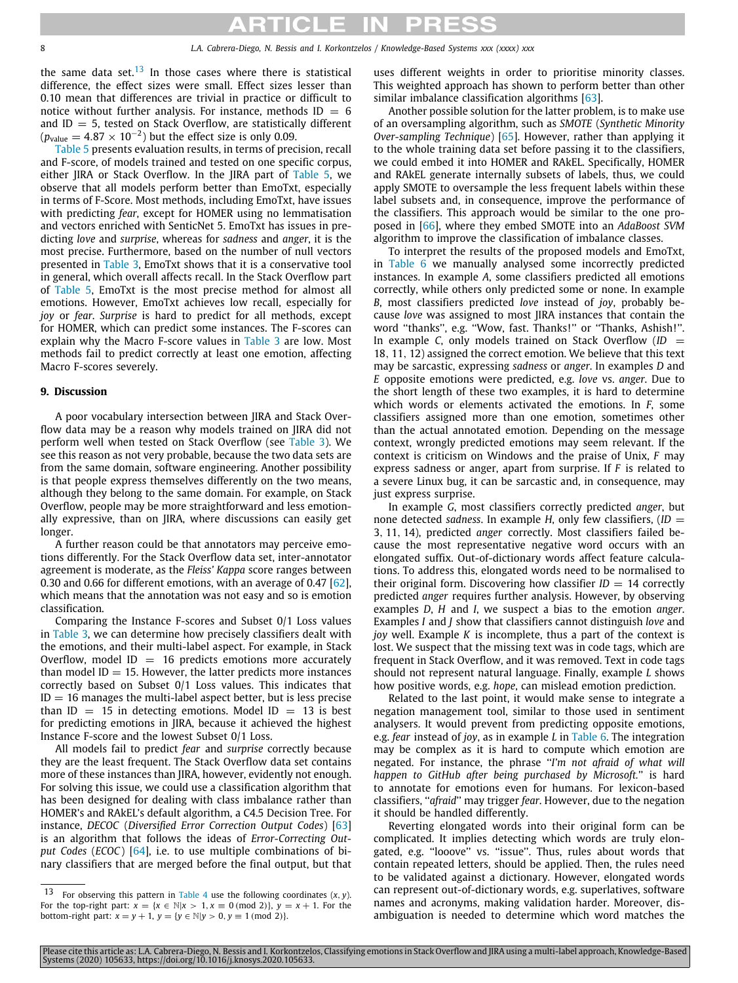<span id="page-7-1"></span>the same data set.<sup>[13](#page-7-1)</sup> In those cases where there is statistical difference, the effect sizes were small. Effect sizes lesser than 0.10 mean that differences are trivial in practice or difficult to notice without further analysis. For instance, methods  $ID = 6$ and  $ID = 5$ , tested on Stack Overflow, are statistically different  $(p_{\text{value}} = 4.87 \times 10^{-2})$  but the effect size is only 0.09.

[Table](#page-6-1) [5](#page-6-1) presents evaluation results, in terms of precision, recall and F-score, of models trained and tested on one specific corpus, either JIRA or Stack Overflow. In the JIRA part of [Table](#page-6-1) [5](#page-6-1), we observe that all models perform better than EmoTxt, especially in terms of F-Score. Most methods, including EmoTxt, have issues with predicting *fear*, except for HOMER using no lemmatisation and vectors enriched with SenticNet 5. EmoTxt has issues in predicting *love* and *surprise*, whereas for *sadness* and *anger*, it is the most precise. Furthermore, based on the number of null vectors presented in [Table](#page-5-0) [3,](#page-5-0) EmoTxt shows that it is a conservative tool in general, which overall affects recall. In the Stack Overflow part of [Table](#page-6-1) [5,](#page-6-1) EmoTxt is the most precise method for almost all emotions. However, EmoTxt achieves low recall, especially for *joy* or *fear*. *Surprise* is hard to predict for all methods, except for HOMER, which can predict some instances. The F-scores can explain why the Macro F-score values in [Table](#page-5-0) [3](#page-5-0) are low. Most methods fail to predict correctly at least one emotion, affecting Macro F-scores severely.

### **9. Discussion**

<span id="page-7-0"></span>A poor vocabulary intersection between JIRA and Stack Overflow data may be a reason why models trained on JIRA did not perform well when tested on Stack Overflow (see [Table](#page-5-0) [3](#page-5-0)). We see this reason as not very probable, because the two data sets are from the same domain, software engineering. Another possibility is that people express themselves differently on the two means, although they belong to the same domain. For example, on Stack Overflow, people may be more straightforward and less emotionally expressive, than on JIRA, where discussions can easily get longer.

A further reason could be that annotators may perceive emotions differently. For the Stack Overflow data set, inter-annotator agreement is moderate, as the *Fleiss' Kappa* score ranges between 0.30 and 0.66 for different emotions, with an average of 0.47 [\[62\]](#page-11-8), which means that the annotation was not easy and so is emotion classification.

Comparing the Instance F-scores and Subset 0/1 Loss values in [Table](#page-5-0) [3,](#page-5-0) we can determine how precisely classifiers dealt with the emotions, and their multi-label aspect. For example, in Stack Overflow, model ID  $=$  16 predicts emotions more accurately than model ID  $=$  15. However, the latter predicts more instances correctly based on Subset 0/1 Loss values. This indicates that  $ID = 16$  manages the multi-label aspect better, but is less precise than ID = 15 in detecting emotions. Model ID = 13 is best for predicting emotions in JIRA, because it achieved the highest Instance F-score and the lowest Subset 0/1 Loss.

All models fail to predict *fear* and *surprise* correctly because they are the least frequent. The Stack Overflow data set contains more of these instances than JIRA, however, evidently not enough. For solving this issue, we could use a classification algorithm that has been designed for dealing with class imbalance rather than HOMER's and RAkEL's default algorithm, a C4.5 Decision Tree. For instance, *DECOC* (*Diversified Error Correction Output Codes*) [\[63\]](#page-11-9) is an algorithm that follows the ideas of *Error-Correcting Output Codes* (*ECOC*) [[64](#page-11-10)], i.e. to use multiple combinations of binary classifiers that are merged before the final output, but that uses different weights in order to prioritise minority classes. This weighted approach has shown to perform better than other similar imbalance classification algorithms [\[63](#page-11-9)].

Another possible solution for the latter problem, is to make use of an oversampling algorithm, such as *SMOTE* (*Synthetic Minority Over-sampling Technique*) [\[65\]](#page-11-11). However, rather than applying it to the whole training data set before passing it to the classifiers, we could embed it into HOMER and RAkEL. Specifically, HOMER and RAkEL generate internally subsets of labels, thus, we could apply SMOTE to oversample the less frequent labels within these label subsets and, in consequence, improve the performance of the classifiers. This approach would be similar to the one proposed in [[66](#page-11-12)], where they embed SMOTE into an *AdaBoost SVM* algorithm to improve the classification of imbalance classes.

To interpret the results of the proposed models and EmoTxt, in [Table](#page-8-1) [6](#page-8-1) we manually analysed some incorrectly predicted instances. In example *A*, some classifiers predicted all emotions correctly, while others only predicted some or none. In example *B*, most classifiers predicted *love* instead of *joy*, probably because *love* was assigned to most JIRA instances that contain the word "thanks", e.g. "Wow, fast. Thanks!" or "Thanks, Ashish!". In example *C*, only models trained on Stack Overflow  $(ID =$ 18, 11, 12) assigned the correct emotion. We believe that this text may be sarcastic, expressing *sadness* or *anger*. In examples *D* and *E* opposite emotions were predicted, e.g. *love* vs. *anger*. Due to the short length of these two examples, it is hard to determine which words or elements activated the emotions. In *F*, some classifiers assigned more than one emotion, sometimes other than the actual annotated emotion. Depending on the message context, wrongly predicted emotions may seem relevant. If the context is criticism on Windows and the praise of Unix, *F* may express sadness or anger, apart from surprise. If *F* is related to a severe Linux bug, it can be sarcastic and, in consequence, may just express surprise.

In example *G*, most classifiers correctly predicted *anger*, but none detected *sadness*. In example *H*, only few classifiers,  $(ID =$ 3, 11, 14), predicted *anger* correctly. Most classifiers failed because the most representative negative word occurs with an elongated suffix. Out-of-dictionary words affect feature calculations. To address this, elongated words need to be normalised to their original form. Discovering how classifier  $ID = 14$  correctly predicted *anger* requires further analysis. However, by observing examples *D*, *H* and *I*, we suspect a bias to the emotion *anger*. Examples *I* and *J* show that classifiers cannot distinguish *love* and *joy* well. Example *K* is incomplete, thus a part of the context is lost. We suspect that the missing text was in code tags, which are frequent in Stack Overflow, and it was removed. Text in code tags should not represent natural language. Finally, example *L* shows how positive words, e.g. *hope*, can mislead emotion prediction.

Related to the last point, it would make sense to integrate a negation management tool, similar to those used in sentiment analysers. It would prevent from predicting opposite emotions, e.g. *fear* instead of *joy*, as in example *L* in [Table](#page-8-1) [6.](#page-8-1) The integration may be complex as it is hard to compute which emotion are negated. For instance, the phrase ''*I'm not afraid of what will happen to GitHub after being purchased by Microsoft.*'' is hard to annotate for emotions even for humans. For lexicon-based classifiers, ''*afraid*'' may trigger *fear*. However, due to the negation it should be handled differently.

Reverting elongated words into their original form can be complicated. It implies detecting which words are truly elongated, e.g. ''looove'' vs. ''issue''. Thus, rules about words that contain repeated letters, should be applied. Then, the rules need to be validated against a dictionary. However, elongated words can represent out-of-dictionary words, e.g. superlatives, software names and acronyms, making validation harder. Moreover, disambiguation is needed to determine which word matches the

<sup>13</sup> For observing this pattern in [Table](#page-6-0) [4](#page-6-0) use the following coordinates  $(x, y)$ . For the top-right part:  $x = \{x \in \mathbb{N} | x > 1, x \equiv 0 \pmod{2} \}$ ,  $y = x + 1$ . For the bottom-right part:  $x = y + 1$ ,  $y = \{y \in \mathbb{N} | y > 0, y \equiv 1 \pmod{2} \}.$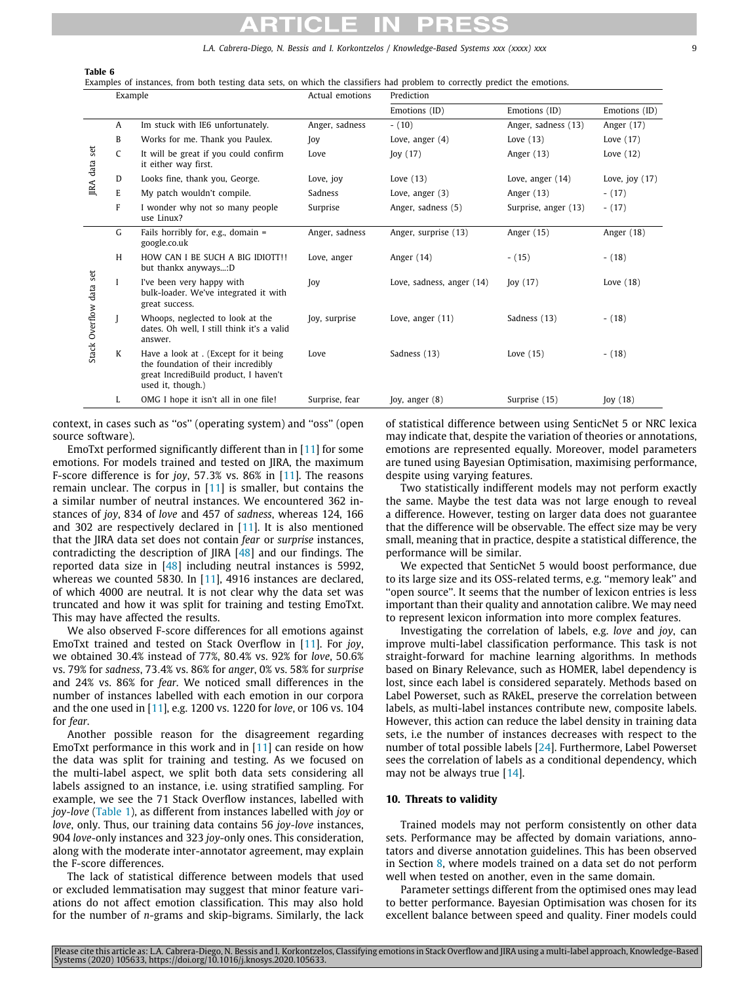<span id="page-8-1"></span>Examples of instances, from both testing data sets, on which the classifiers had problem to correctly predict the emotions.

|                         | Example      |                                                                                                                                           | Actual emotions | Prediction                |                      |                  |  |  |  |  |
|-------------------------|--------------|-------------------------------------------------------------------------------------------------------------------------------------------|-----------------|---------------------------|----------------------|------------------|--|--|--|--|
|                         |              |                                                                                                                                           |                 | Emotions (ID)             | Emotions (ID)        | Emotions (ID)    |  |  |  |  |
|                         | A            | Im stuck with IE6 unfortunately.                                                                                                          | Anger, sadness  | $- (10)$                  | Anger, sadness (13)  | Anger $(17)$     |  |  |  |  |
|                         | B            | Works for me. Thank you Paulex.                                                                                                           | Joy             | Love, anger $(4)$         | Love $(13)$          | Love $(17)$      |  |  |  |  |
| JIRA data set           | $\mathsf{C}$ | It will be great if you could confirm<br>it either way first.                                                                             | Love            | Joy(17)                   | Anger (13)           | Love $(12)$      |  |  |  |  |
|                         | D            | Looks fine, thank you, George.                                                                                                            | Love, joy       | Love $(13)$               | Love, anger (14)     | Love, joy $(17)$ |  |  |  |  |
|                         | E            | My patch wouldn't compile.                                                                                                                | Sadness         | Love, anger $(3)$         | Anger (13)           | $- (17)$         |  |  |  |  |
|                         | F            | I wonder why not so many people<br>use Linux?                                                                                             | Surprise        | Anger, sadness (5)        | Surprise, anger (13) | $- (17)$         |  |  |  |  |
|                         | G            | Fails horribly for, e.g., domain =<br>google.co.uk                                                                                        | Anger, sadness  | Anger, surprise (13)      | Anger $(15)$         | Anger (18)       |  |  |  |  |
|                         | H            | HOW CAN I BE SUCH A BIG IDIOTT!!<br>but thankx anyways:D                                                                                  | Love, anger     | Anger $(14)$              | $- (15)$             | $- (18)$         |  |  |  |  |
|                         | I            | I've been very happy with<br>bulk-loader. We've integrated it with<br>great success.                                                      | Joy             | Love, sadness, anger (14) | Joy(17)              | Love $(18)$      |  |  |  |  |
| Stack Overflow data set | I            | Whoops, neglected to look at the<br>dates. Oh well, I still think it's a valid<br>answer.                                                 | Joy, surprise   | Love, anger $(11)$        | Sadness (13)         | $- (18)$         |  |  |  |  |
|                         | K            | Have a look at . (Except for it being<br>the foundation of their incredibly<br>great IncrediBuild product, I haven't<br>used it, though.) | Love            | Sadness (13)              | Love $(15)$          | $- (18)$         |  |  |  |  |
|                         | L            | OMG I hope it isn't all in one file!                                                                                                      | Surprise, fear  | Joy, anger $(8)$          | Surprise (15)        | Joy(18)          |  |  |  |  |
|                         |              |                                                                                                                                           |                 |                           |                      |                  |  |  |  |  |

context, in cases such as ''os'' (operating system) and ''oss'' (open source software).

EmoTxt performed significantly different than in [\[11\]](#page-9-10) for some emotions. For models trained and tested on JIRA, the maximum F-score difference is for *joy*, 57.3% vs. 86% in [[11](#page-9-10)]. The reasons remain unclear. The corpus in [[11](#page-9-10)] is smaller, but contains the a similar number of neutral instances. We encountered 362 instances of *joy*, 834 of *love* and 457 of *sadness*, whereas 124, 166 and 302 are respectively declared in [\[11\]](#page-9-10). It is also mentioned that the JIRA data set does not contain *fear* or *surprise* instances, contradicting the description of JIRA [[48](#page-10-32)] and our findings. The reported data size in [[48\]](#page-10-32) including neutral instances is 5992, whereas we counted 5830. In [[11](#page-9-10)], 4916 instances are declared, of which 4000 are neutral. It is not clear why the data set was truncated and how it was split for training and testing EmoTxt. This may have affected the results.

We also observed F-score differences for all emotions against EmoTxt trained and tested on Stack Overflow in [[11](#page-9-10)]. For *joy*, we obtained 30.4% instead of 77%, 80.4% vs. 92% for *love*, 50.6% vs. 79% for *sadness*, 73.4% vs. 86% for *anger*, 0% vs. 58% for *surprise* and 24% vs. 86% for *fear*. We noticed small differences in the number of instances labelled with each emotion in our corpora and the one used in [\[11\]](#page-9-10), e.g. 1200 vs. 1220 for *love*, or 106 vs. 104 for *fear*.

Another possible reason for the disagreement regarding EmoTxt performance in this work and in [[11](#page-9-10)] can reside on how the data was split for training and testing. As we focused on the multi-label aspect, we split both data sets considering all labels assigned to an instance, i.e. using stratified sampling. For example, we see the 71 Stack Overflow instances, labelled with *joy-love* ([Table](#page-4-1) [1\)](#page-4-1), as different from instances labelled with *joy* or *love*, only. Thus, our training data contains 56 *joy-love* instances, 904 *love*-only instances and 323 *joy*-only ones. This consideration, along with the moderate inter-annotator agreement, may explain the F-score differences.

The lack of statistical difference between models that used or excluded lemmatisation may suggest that minor feature variations do not affect emotion classification. This may also hold for the number of *n*-grams and skip-bigrams. Similarly, the lack of statistical difference between using SenticNet 5 or NRC lexica may indicate that, despite the variation of theories or annotations, emotions are represented equally. Moreover, model parameters are tuned using Bayesian Optimisation, maximising performance, despite using varying features.

Two statistically indifferent models may not perform exactly the same. Maybe the test data was not large enough to reveal a difference. However, testing on larger data does not guarantee that the difference will be observable. The effect size may be very small, meaning that in practice, despite a statistical difference, the performance will be similar.

We expected that SenticNet 5 would boost performance, due to its large size and its OSS-related terms, e.g. ''memory leak'' and "open source". It seems that the number of lexicon entries is less important than their quality and annotation calibre. We may need to represent lexicon information into more complex features.

Investigating the correlation of labels, e.g. *love* and *joy*, can improve multi-label classification performance. This task is not straight-forward for machine learning algorithms. In methods based on Binary Relevance, such as HOMER, label dependency is lost, since each label is considered separately. Methods based on Label Powerset, such as RAkEL, preserve the correlation between labels, as multi-label instances contribute new, composite labels. However, this action can reduce the label density in training data sets, i.e the number of instances decreases with respect to the number of total possible labels [[24\]](#page-10-8). Furthermore, Label Powerset sees the correlation of labels as a conditional dependency, which may not be always true [\[14\]](#page-9-14).

## **10. Threats to validity**

<span id="page-8-0"></span>Trained models may not perform consistently on other data sets. Performance may be affected by domain variations, annotators and diverse annotation guidelines. This has been observed in Section  $8$ , where models trained on a data set do not perform well when tested on another, even in the same domain.

Parameter settings different from the optimised ones may lead to better performance. Bayesian Optimisation was chosen for its excellent balance between speed and quality. Finer models could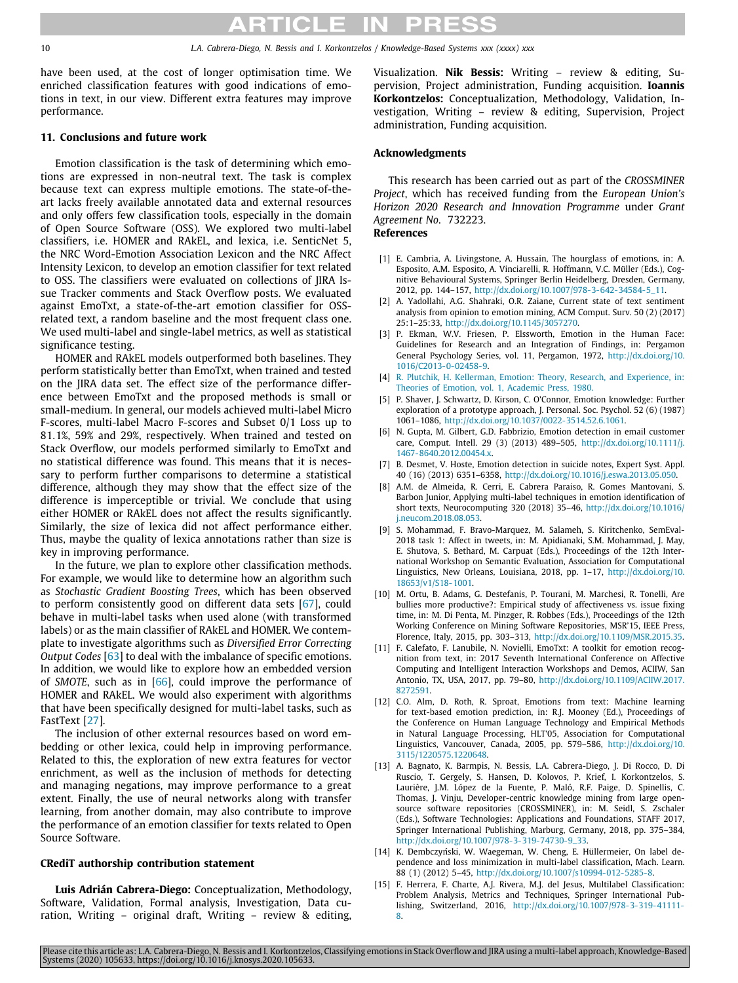have been used, at the cost of longer optimisation time. We enriched classification features with good indications of emotions in text, in our view. Different extra features may improve performance.

# **11. Conclusions and future work**

<span id="page-9-12"></span>Emotion classification is the task of determining which emotions are expressed in non-neutral text. The task is complex because text can express multiple emotions. The state-of-theart lacks freely available annotated data and external resources and only offers few classification tools, especially in the domain of Open Source Software (OSS). We explored two multi-label classifiers, i.e. HOMER and RAkEL, and lexica, i.e. SenticNet 5, the NRC Word-Emotion Association Lexicon and the NRC Affect Intensity Lexicon, to develop an emotion classifier for text related to OSS. The classifiers were evaluated on collections of JIRA Issue Tracker comments and Stack Overflow posts. We evaluated against EmoTxt, a state-of-the-art emotion classifier for OSSrelated text, a random baseline and the most frequent class one. We used multi-label and single-label metrics, as well as statistical significance testing.

HOMER and RAkEL models outperformed both baselines. They perform statistically better than EmoTxt, when trained and tested on the JIRA data set. The effect size of the performance difference between EmoTxt and the proposed methods is small or small-medium. In general, our models achieved multi-label Micro F-scores, multi-label Macro F-scores and Subset 0/1 Loss up to 81.1%, 59% and 29%, respectively. When trained and tested on Stack Overflow, our models performed similarly to EmoTxt and no statistical difference was found. This means that it is necessary to perform further comparisons to determine a statistical difference, although they may show that the effect size of the difference is imperceptible or trivial. We conclude that using either HOMER or RAkEL does not affect the results significantly. Similarly, the size of lexica did not affect performance either. Thus, maybe the quality of lexica annotations rather than size is key in improving performance.

In the future, we plan to explore other classification methods. For example, we would like to determine how an algorithm such as *Stochastic Gradient Boosting Trees*, which has been observed to perform consistently good on different data sets [\[67\]](#page-11-13), could behave in multi-label tasks when used alone (with transformed labels) or as the main classifier of RAkEL and HOMER. We contemplate to investigate algorithms such as *Diversified Error Correcting Output Codes* [[63](#page-11-9)] to deal with the imbalance of specific emotions. In addition, we would like to explore how an embedded version of *SMOTE*, such as in [[66](#page-11-12)], could improve the performance of HOMER and RAkEL. We would also experiment with algorithms that have been specifically designed for multi-label tasks, such as FastText [\[27](#page-10-11)].

The inclusion of other external resources based on word embedding or other lexica, could help in improving performance. Related to this, the exploration of new extra features for vector enrichment, as well as the inclusion of methods for detecting and managing negations, may improve performance to a great extent. Finally, the use of neural networks along with transfer learning, from another domain, may also contribute to improve the performance of an emotion classifier for texts related to Open Source Software.

### **CRediT authorship contribution statement**

**Luis Adrián Cabrera-Diego:** Conceptualization, Methodology, Software, Validation, Formal analysis, Investigation, Data curation, Writing – original draft, Writing – review & editing, Visualization. **Nik Bessis:** Writing – review & editing, Supervision, Project administration, Funding acquisition. **Ioannis Korkontzelos:** Conceptualization, Methodology, Validation, Investigation, Writing – review & editing, Supervision, Project administration, Funding acquisition.

## **Acknowledgments**

This research has been carried out as part of the *CROSSMINER Project*, which has received funding from the *European Union's Horizon 2020 Research and Innovation Programme* under *Grant Agreement No*. 732223. **References**

- <span id="page-9-0"></span>[1] E. Cambria, A. Livingstone, A. Hussain, The hourglass of emotions, in: A.
- Esposito, A.M. Esposito, A. Vinciarelli, R. Hoffmann, V.C. Müller (Eds.), Cognitive Behavioural Systems, Springer Berlin Heidelberg, Dresden, Germany, 2012, pp. 144–157, [http://dx.doi.org/10.1007/978-3-642-34584-5\\_11.](http://dx.doi.org/10.1007/978-3-642-34584-5_11)
- <span id="page-9-1"></span>[2] A. Yadollahi, A.G. Shahraki, O.R. Zaiane, Current state of text sentiment analysis from opinion to emotion mining, ACM Comput. Surv. 50 (2) (2017) 25:1–25:33, <http://dx.doi.org/10.1145/3057270>.
- <span id="page-9-2"></span>[3] P. Ekman, W.V. Friesen, P. Elssworth, Emotion in the Human Face: Guidelines for Research and an Integration of Findings, in: Pergamon General Psychology Series, vol. 11, Pergamon, 1972, [http://dx.doi.org/10.](http://dx.doi.org/10.1016/C2013-0-02458-9) [1016/C2013-0-02458-9.](http://dx.doi.org/10.1016/C2013-0-02458-9)
- <span id="page-9-3"></span>[4] [R. Plutchik, H. Kellerman, Emotion: Theory, Research, and Experience, in:](http://refhub.elsevier.com/S0950-7051(20)30093-9/sb4) [Theories of Emotion, vol. 1, Academic Press, 1980.](http://refhub.elsevier.com/S0950-7051(20)30093-9/sb4)
- <span id="page-9-4"></span>[5] P. Shaver, J. Schwartz, D. Kirson, C. O'Connor, Emotion knowledge: Further exploration of a prototype approach, J. Personal. Soc. Psychol. 52 (6) (1987) 1061–1086, <http://dx.doi.org/10.1037/0022-3514.52.6.1061>.
- <span id="page-9-5"></span>[6] N. Gupta, M. Gilbert, G.D. Fabbrizio, Emotion detection in email customer care, Comput. Intell. 29 (3) (2013) 489–505, [http://dx.doi.org/10.1111/j.](http://dx.doi.org/10.1111/j.1467-8640.2012.00454.x) [1467-8640.2012.00454.x.](http://dx.doi.org/10.1111/j.1467-8640.2012.00454.x)
- <span id="page-9-6"></span>[7] B. Desmet, V. Hoste, Emotion detection in suicide notes, Expert Syst. Appl. 40 (16) (2013) 6351–6358, [http://dx.doi.org/10.1016/j.eswa.2013.05.050.](http://dx.doi.org/10.1016/j.eswa.2013.05.050)
- <span id="page-9-7"></span>[8] A.M. de Almeida, R. Cerri, E. Cabrera Paraiso, R. Gomes Mantovani, S. Barbon Junior, Applying multi-label techniques in emotion identification of short texts, Neurocomputing 320 (2018) 35–46, [http://dx.doi.org/10.1016/](http://dx.doi.org/10.1016/j.neucom.2018.08.053) [j.neucom.2018.08.053](http://dx.doi.org/10.1016/j.neucom.2018.08.053).
- <span id="page-9-8"></span>[9] S. Mohammad, F. Bravo-Marquez, M. Salameh, S. Kiritchenko, SemEval-2018 task 1: Affect in tweets, in: M. Apidianaki, S.M. Mohammad, J. May, E. Shutova, S. Bethard, M. Carpuat (Eds.), Proceedings of the 12th International Workshop on Semantic Evaluation, Association for Computational Linguistics, New Orleans, Louisiana, 2018, pp. 1–17, [http://dx.doi.org/10.](http://dx.doi.org/10.18653/v1/S18-1001) [18653/v1/S18-1001.](http://dx.doi.org/10.18653/v1/S18-1001)
- <span id="page-9-9"></span>[10] M. Ortu, B. Adams, G. Destefanis, P. Tourani, M. Marchesi, R. Tonelli, Are bullies more productive?: Empirical study of affectiveness vs. issue fixing time, in: M. Di Penta, M. Pinzger, R. Robbes (Eds.), Proceedings of the 12th Working Conference on Mining Software Repositories, MSR'15, IEEE Press, Florence, Italy, 2015, pp. 303–313, [http://dx.doi.org/10.1109/MSR.2015.35.](http://dx.doi.org/10.1109/MSR.2015.35)
- <span id="page-9-10"></span>[11] F. Calefato, F. Lanubile, N. Novielli, EmoTxt: A toolkit for emotion recognition from text, in: 2017 Seventh International Conference on Affective Computing and Intelligent Interaction Workshops and Demos, ACIIW, San Antonio, TX, USA, 2017, pp. 79–80, [http://dx.doi.org/10.1109/ACIIW.2017.](http://dx.doi.org/10.1109/ACIIW.2017.8272591) [8272591.](http://dx.doi.org/10.1109/ACIIW.2017.8272591)
- <span id="page-9-11"></span>[12] C.O. Alm, D. Roth, R. Sproat, Emotions from text: Machine learning for text-based emotion prediction, in: R.J. Mooney (Ed.), Proceedings of the Conference on Human Language Technology and Empirical Methods in Natural Language Processing, HLT'05, Association for Computational Linguistics, Vancouver, Canada, 2005, pp. 579–586, [http://dx.doi.org/10.](http://dx.doi.org/10.3115/1220575.1220648) [3115/1220575.1220648.](http://dx.doi.org/10.3115/1220575.1220648)
- <span id="page-9-13"></span>[13] A. Bagnato, K. Barmpis, N. Bessis, L.A. Cabrera-Diego, J. Di Rocco, D. Di Ruscio, T. Gergely, S. Hansen, D. Kolovos, P. Krief, I. Korkontzelos, S. Laurière, J.M. López de la Fuente, P. Maló, R.F. Paige, D. Spinellis, C. Thomas, J. Vinju, Developer-centric knowledge mining from large opensource software repositories (CROSSMINER), in: M. Seidl, S. Zschaler (Eds.), Software Technologies: Applications and Foundations, STAFF 2017, Springer International Publishing, Marburg, Germany, 2018, pp. 375–384, [http://dx.doi.org/10.1007/978-3-319-74730-9\\_33](http://dx.doi.org/10.1007/978-3-319-74730-9_33).
- <span id="page-9-14"></span>[14] K. Dembczyński, W. Waegeman, W. Cheng, E. Hüllermeier, On label dependence and loss minimization in multi-label classification, Mach. Learn. 88 (1) (2012) 5–45, [http://dx.doi.org/10.1007/s10994-012-5285-8.](http://dx.doi.org/10.1007/s10994-012-5285-8)
- <span id="page-9-15"></span>[15] F. Herrera, F. Charte, A.J. Rivera, M.J. del Jesus, Multilabel Classification: Problem Analysis, Metrics and Techniques, Springer International Publishing, Switzerland, 2016, [http://dx.doi.org/10.1007/978-3-319-41111-](http://dx.doi.org/10.1007/978-3-319-41111-8) [8.](http://dx.doi.org/10.1007/978-3-319-41111-8)

Please cite this article as: L.A. Cabrera-Diego, N. Bessis and I. Korkontzelos, Classifying emotions in Stack Overflow and JIRA using a multi-label approach, Knowledge-Based Systems (2020) 105633, https://doi.org/10.1016/j.knosys.2020.105633.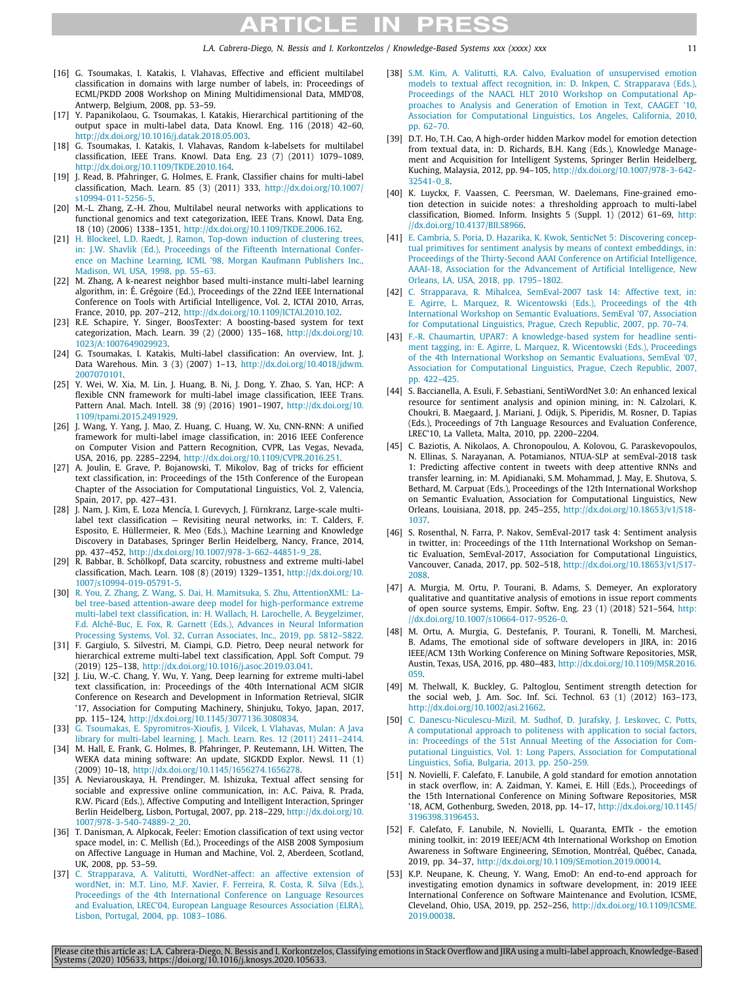# CL E

*L.A. Cabrera-Diego, N. Bessis and I. Korkontzelos / Knowledge-Based Systems xxx (xxxx) xxx* 11

- <span id="page-10-0"></span>[16] G. Tsoumakas, I. Katakis, I. Vlahavas, Effective and efficient multilabel classification in domains with large number of labels, in: Proceedings of ECML/PKDD 2008 Workshop on Mining Multidimensional Data, MMD'08, Antwerp, Belgium, 2008, pp. 53–59.
- <span id="page-10-1"></span>[17] Y. Papanikolaou, G. Tsoumakas, I. Katakis, Hierarchical partitioning of the output space in multi-label data, Data Knowl. Eng. 116 (2018) 42–60, <http://dx.doi.org/10.1016/j.datak.2018.05.003>.
- <span id="page-10-2"></span>[18] G. Tsoumakas, I. Katakis, I. Vlahavas, Random k-labelsets for multilabel classification, IEEE Trans. Knowl. Data Eng. 23 (7) (2011) 1079–1089, [http://dx.doi.org/10.1109/TKDE.2010.164.](http://dx.doi.org/10.1109/TKDE.2010.164)
- <span id="page-10-3"></span>[19] J. Read, B. Pfahringer, G. Holmes, E. Frank, Classifier chains for multi-label classification, Mach. Learn. 85 (3) (2011) 333, [http://dx.doi.org/10.1007/](http://dx.doi.org/10.1007/s10994-011-5256-5) [s10994-011-5256-5](http://dx.doi.org/10.1007/s10994-011-5256-5).
- <span id="page-10-4"></span>[20] M.-L. Zhang, Z.-H. Zhou, Multilabel neural networks with applications to functional genomics and text categorization, IEEE Trans. Knowl. Data Eng. 18 (10) (2006) 1338–1351, [http://dx.doi.org/10.1109/TKDE.2006.162.](http://dx.doi.org/10.1109/TKDE.2006.162)
- <span id="page-10-5"></span>[21] [H. Blockeel, L.D. Raedt, J. Ramon, Top-down induction of clustering trees,](http://refhub.elsevier.com/S0950-7051(20)30093-9/sb21) [in: J.W. Shavlik \(Ed.\), Proceedings of the Fifteenth International Confer](http://refhub.elsevier.com/S0950-7051(20)30093-9/sb21)[ence on Machine Learning, ICML '98, Morgan Kaufmann Publishers Inc.,](http://refhub.elsevier.com/S0950-7051(20)30093-9/sb21) [Madison, WI, USA, 1998, pp. 55–63.](http://refhub.elsevier.com/S0950-7051(20)30093-9/sb21)
- <span id="page-10-6"></span>[22] M. Zhang, A k-nearest neighbor based multi-instance multi-label learning algorithm, in: É. Grégoire (Ed.), Proceedings of the 22nd IEEE International Conference on Tools with Artificial Intelligence, Vol. 2, ICTAI 2010, Arras, France, 2010, pp. 207–212, <http://dx.doi.org/10.1109/ICTAI.2010.102>.
- <span id="page-10-7"></span>[23] R.E. Schapire, Y. Singer, BoosTexter: A boosting-based system for text categorization, Mach. Learn. 39 (2) (2000) 135–168, [http://dx.doi.org/10.](http://dx.doi.org/10.1023/A:1007649029923) [1023/A:1007649029923](http://dx.doi.org/10.1023/A:1007649029923).
- <span id="page-10-8"></span>[24] G. Tsoumakas, I. Katakis, Multi-label classification: An overview, Int. J. Data Warehous. Min. 3 (3) (2007) 1–13, [http://dx.doi.org/10.4018/jdwm.](http://dx.doi.org/10.4018/jdwm.2007070101) [2007070101](http://dx.doi.org/10.4018/jdwm.2007070101).
- <span id="page-10-9"></span>[25] Y. Wei, W. Xia, M. Lin, J. Huang, B. Ni, J. Dong, Y. Zhao, S. Yan, HCP: A flexible CNN framework for multi-label image classification, IEEE Trans. Pattern Anal. Mach. Intell. 38 (9) (2016) 1901–1907, [http://dx.doi.org/10.](http://dx.doi.org/10.1109/tpami.2015.2491929) [1109/tpami.2015.2491929.](http://dx.doi.org/10.1109/tpami.2015.2491929)
- <span id="page-10-10"></span>[26] J. Wang, Y. Yang, J. Mao, Z. Huang, C. Huang, W. Xu, CNN-RNN: A unified framework for multi-label image classification, in: 2016 IEEE Conference on Computer Vision and Pattern Recognition, CVPR, Las Vegas, Nevada, USA, 2016, pp. 2285–2294, <http://dx.doi.org/10.1109/CVPR.2016.251>.
- <span id="page-10-11"></span>[27] A. Joulin, E. Grave, P. Bojanowski, T. Mikolov, Bag of tricks for efficient text classification, in: Proceedings of the 15th Conference of the European Chapter of the Association for Computational Linguistics, Vol. 2, Valencia, Spain, 2017, pp. 427–431.
- <span id="page-10-12"></span>[28] J. Nam, J. Kim, E. Loza Mencía, I. Gurevych, J. Fürnkranz, Large-scale multilabel text classification — Revisiting neural networks, in: T. Calders, F. Esposito, E. Hüllermeier, R. Meo (Eds.), Machine Learning and Knowledge Discovery in Databases, Springer Berlin Heidelberg, Nancy, France, 2014, pp. 437–452, [http://dx.doi.org/10.1007/978-3-662-44851-9\\_28.](http://dx.doi.org/10.1007/978-3-662-44851-9_28)
- <span id="page-10-13"></span>[29] R. Babbar, B. Schölkopf, Data scarcity, robustness and extreme multi-label classification, Mach. Learn. 108 (8) (2019) 1329–1351, [http://dx.doi.org/10.](http://dx.doi.org/10.1007/s10994-019-05791-5) [1007/s10994-019-05791-5.](http://dx.doi.org/10.1007/s10994-019-05791-5)
- [30] [R. You, Z. Zhang, Z. Wang, S. Dai, H. Mamitsuka, S. Zhu, AttentionXML: La](http://refhub.elsevier.com/S0950-7051(20)30093-9/sb30)[bel tree-based attention-aware deep model for high-performance extreme](http://refhub.elsevier.com/S0950-7051(20)30093-9/sb30) [multi-label text classification, in: H. Wallach, H. Larochelle, A. Beygelzimer,](http://refhub.elsevier.com/S0950-7051(20)30093-9/sb30) [F.d. Alché-Buc, E. Fox, R. Garnett \(Eds.\), Advances in Neural Information](http://refhub.elsevier.com/S0950-7051(20)30093-9/sb30) [Processing Systems, Vol. 32, Curran Associates, Inc., 2019, pp. 5812–5822.](http://refhub.elsevier.com/S0950-7051(20)30093-9/sb30)
- [31] F. Gargiulo, S. Silvestri, M. Ciampi, G.D. Pietro, Deep neural network for hierarchical extreme multi-label text classification, Appl. Soft Comput. 79 (2019) 125–138, [http://dx.doi.org/10.1016/j.asoc.2019.03.041.](http://dx.doi.org/10.1016/j.asoc.2019.03.041)
- <span id="page-10-14"></span>[32] J. Liu, W.-C. Chang, Y. Wu, Y. Yang, Deep learning for extreme multi-label text classification, in: Proceedings of the 40th International ACM SIGIR Conference on Research and Development in Information Retrieval, SIGIR '17, Association for Computing Machinery, Shinjuku, Tokyo, Japan, 2017, pp. 115–124, <http://dx.doi.org/10.1145/3077136.3080834>.
- <span id="page-10-15"></span>[33] [G. Tsoumakas, E. Spyromitros-Xioufis, J. Vilcek, I. Vlahavas, Mulan: A Java](http://refhub.elsevier.com/S0950-7051(20)30093-9/sb33) [library for multi-label learning, J. Mach. Learn. Res. 12 \(2011\) 2411–2414.](http://refhub.elsevier.com/S0950-7051(20)30093-9/sb33)
- <span id="page-10-16"></span>[34] M. Hall, E. Frank, G. Holmes, B. Pfahringer, P. Reutemann, I.H. Witten, The WEKA data mining software: An update, SIGKDD Explor. Newsl. 11 (1) (2009) 10–18, <http://dx.doi.org/10.1145/1656274.1656278>.
- <span id="page-10-17"></span>[35] A. Neviarouskaya, H. Prendinger, M. Ishizuka, Textual affect sensing for sociable and expressive online communication, in: A.C. Paiva, R. Prada, R.W. Picard (Eds.), Affective Computing and Intelligent Interaction, Springer Berlin Heidelberg, Lisbon, Portugal, 2007, pp. 218–229, [http://dx.doi.org/10.](http://dx.doi.org/10.1007/978-3-540-74889-2_20) [1007/978-3-540-74889-2\\_20](http://dx.doi.org/10.1007/978-3-540-74889-2_20).
- <span id="page-10-18"></span>[36] T. Danisman, A. Alpkocak, Feeler: Emotion classification of text using vector space model, in: C. Mellish (Ed.), Proceedings of the AISB 2008 Symposium on Affective Language in Human and Machine, Vol. 2, Aberdeen, Scotland, UK, 2008, pp. 53–59.
- <span id="page-10-19"></span>[37] [C. Strapparava, A. Valitutti, WordNet-affect: an affective extension of](http://refhub.elsevier.com/S0950-7051(20)30093-9/sb37) [wordNet, in: M.T. Lino, M.F. Xavier, F. Ferreira, R. Costa, R. Silva \(Eds.\),](http://refhub.elsevier.com/S0950-7051(20)30093-9/sb37) [Proceedings of the 4th International Conference on Language Resources](http://refhub.elsevier.com/S0950-7051(20)30093-9/sb37) [and Evaluation, LREC'04, European Language Resources Association \(ELRA\),](http://refhub.elsevier.com/S0950-7051(20)30093-9/sb37) [Lisbon, Portugal, 2004, pp. 1083–1086.](http://refhub.elsevier.com/S0950-7051(20)30093-9/sb37)
- <span id="page-10-20"></span>[38] [S.M. Kim, A. Valitutti, R.A. Calvo, Evaluation of unsupervised emotion](http://refhub.elsevier.com/S0950-7051(20)30093-9/sb38) [models to textual affect recognition, in: D. Inkpen, C. Strapparava \(Eds.\),](http://refhub.elsevier.com/S0950-7051(20)30093-9/sb38) [Proceedings of the NAACL HLT 2010 Workshop on Computational Ap](http://refhub.elsevier.com/S0950-7051(20)30093-9/sb38)[proaches to Analysis and Generation of Emotion in Text, CAAGET '10,](http://refhub.elsevier.com/S0950-7051(20)30093-9/sb38) [Association for Computational Linguistics, Los Angeles, California, 2010,](http://refhub.elsevier.com/S0950-7051(20)30093-9/sb38) [pp. 62–70.](http://refhub.elsevier.com/S0950-7051(20)30093-9/sb38)
- <span id="page-10-21"></span>[39] D.T. Ho, T.H. Cao, A high-order hidden Markov model for emotion detection from textual data, in: D. Richards, B.H. Kang (Eds.), Knowledge Management and Acquisition for Intelligent Systems, Springer Berlin Heidelberg, Kuching, Malaysia, 2012, pp. 94–105, [http://dx.doi.org/10.1007/978-3-642-](http://dx.doi.org/10.1007/978-3-642-32541-0_8) [32541-0\\_8](http://dx.doi.org/10.1007/978-3-642-32541-0_8).
- <span id="page-10-22"></span>[40] K. Luyckx, F. Vaassen, C. Peersman, W. Daelemans, Fine-grained emotion detection in suicide notes: a thresholding approach to multi-label classification, Biomed. Inform. Insights 5 (Suppl. 1) (2012) 61–69, [http:](http://dx.doi.org/10.4137/BII.S8966) [//dx.doi.org/10.4137/BII.S8966.](http://dx.doi.org/10.4137/BII.S8966)
- <span id="page-10-23"></span>[41] [E. Cambria, S. Poria, D. Hazarika, K. Kwok, SenticNet 5: Discovering concep](http://refhub.elsevier.com/S0950-7051(20)30093-9/sb41)[tual primitives for sentiment analysis by means of context embeddings, in:](http://refhub.elsevier.com/S0950-7051(20)30093-9/sb41) [Proceedings of the Thirty-Second AAAI Conference on Artificial Intelligence,](http://refhub.elsevier.com/S0950-7051(20)30093-9/sb41) [AAAI-18, Association for the Advancement of Artificial Intelligence, New](http://refhub.elsevier.com/S0950-7051(20)30093-9/sb41) [Orleans, LA, USA, 2018, pp. 1795–1802.](http://refhub.elsevier.com/S0950-7051(20)30093-9/sb41)
- <span id="page-10-24"></span>[42] [C. Strapparava, R. Mihalcea, SemEval-2007 task 14: Affective text, in:](http://refhub.elsevier.com/S0950-7051(20)30093-9/sb42) [E. Agirre, L. Marquez, R. Wicentowski \(Eds.\), Proceedings of the 4th](http://refhub.elsevier.com/S0950-7051(20)30093-9/sb42) [International Workshop on Semantic Evaluations, SemEval '07, Association](http://refhub.elsevier.com/S0950-7051(20)30093-9/sb42) [for Computational Linguistics, Prague, Czech Republic, 2007, pp. 70–74.](http://refhub.elsevier.com/S0950-7051(20)30093-9/sb42)
- <span id="page-10-25"></span>[43] [F.-R. Chaumartin, UPAR7: A knowledge-based system for headline senti](http://refhub.elsevier.com/S0950-7051(20)30093-9/sb43)[ment tagging, in: E. Agirre, L. Marquez, R. Wicentowski \(Eds.\), Proceedings](http://refhub.elsevier.com/S0950-7051(20)30093-9/sb43) [of the 4th International Workshop on Semantic Evaluations, SemEval '07,](http://refhub.elsevier.com/S0950-7051(20)30093-9/sb43) [Association for Computational Linguistics, Prague, Czech Republic, 2007,](http://refhub.elsevier.com/S0950-7051(20)30093-9/sb43) [pp. 422–425.](http://refhub.elsevier.com/S0950-7051(20)30093-9/sb43)
- <span id="page-10-26"></span>[44] S. Baccianella, A. Esuli, F. Sebastiani, SentiWordNet 3.0: An enhanced lexical resource for sentiment analysis and opinion mining, in: N. Calzolari, K. Choukri, B. Maegaard, J. Mariani, J. Odijk, S. Piperidis, M. Rosner, D. Tapias (Eds.), Proceedings of 7th Language Resources and Evaluation Conference, LREC'10, La Valleta, Malta, 2010, pp. 2200–2204.
- <span id="page-10-27"></span>[45] C. Baziotis, A. Nikolaos, A. Chronopoulou, A. Kolovou, G. Paraskevopoulos, N. Ellinas, S. Narayanan, A. Potamianos, NTUA-SLP at semEval-2018 task 1: Predicting affective content in tweets with deep attentive RNNs and transfer learning, in: M. Apidianaki, S.M. Mohammad, J. May, E. Shutova, S. Bethard, M. Carpuat (Eds.), Proceedings of the 12th International Workshop on Semantic Evaluation, Association for Computational Linguistics, New Orleans, Louisiana, 2018, pp. 245–255, [http://dx.doi.org/10.18653/v1/S18-](http://dx.doi.org/10.18653/v1/S18-1037) [1037](http://dx.doi.org/10.18653/v1/S18-1037).
- <span id="page-10-28"></span>[46] S. Rosenthal, N. Farra, P. Nakov, SemEval-2017 task 4: Sentiment analysis in twitter, in: Proceedings of the 11th International Workshop on Semantic Evaluation, SemEval-2017, Association for Computational Linguistics, Vancouver, Canada, 2017, pp. 502–518, [http://dx.doi.org/10.18653/v1/S17-](http://dx.doi.org/10.18653/v1/S17-2088) [2088](http://dx.doi.org/10.18653/v1/S17-2088).
- <span id="page-10-29"></span>[47] A. Murgia, M. Ortu, P. Tourani, B. Adams, S. Demeyer, An exploratory qualitative and quantitative analysis of emotions in issue report comments of open source systems, Empir. Softw. Eng. 23 (1) (2018) 521–564, [http:](http://dx.doi.org/10.1007/s10664-017-9526-0) [//dx.doi.org/10.1007/s10664-017-9526-0.](http://dx.doi.org/10.1007/s10664-017-9526-0)
- <span id="page-10-32"></span>[48] M. Ortu, A. Murgia, G. Destefanis, P. Tourani, R. Tonelli, M. Marchesi, B. Adams, The emotional side of software developers in JIRA, in: 2016 IEEE/ACM 13th Working Conference on Mining Software Repositories, MSR, Austin, Texas, USA, 2016, pp. 480–483, [http://dx.doi.org/10.1109/MSR.2016.](http://dx.doi.org/10.1109/MSR.2016.059) [059](http://dx.doi.org/10.1109/MSR.2016.059).
- <span id="page-10-30"></span>[49] M. Thelwall, K. Buckley, G. Paltoglou, Sentiment strength detection for the social web, J. Am. Soc. Inf. Sci. Technol. 63 (1) (2012) 163–173, [http://dx.doi.org/10.1002/asi.21662.](http://dx.doi.org/10.1002/asi.21662)
- <span id="page-10-31"></span>[50] [C. Danescu-Niculescu-Mizil, M. Sudhof, D. Jurafsky, J. Leskovec, C. Potts,](http://refhub.elsevier.com/S0950-7051(20)30093-9/sb50) [A computational approach to politeness with application to social factors,](http://refhub.elsevier.com/S0950-7051(20)30093-9/sb50) [in: Proceedings of the 51st Annual Meeting of the Association for Com](http://refhub.elsevier.com/S0950-7051(20)30093-9/sb50)[putational Linguistics, Vol. 1: Long Papers, Association for Computational](http://refhub.elsevier.com/S0950-7051(20)30093-9/sb50) [Linguistics, Sofia, Bulgaria, 2013, pp. 250–259.](http://refhub.elsevier.com/S0950-7051(20)30093-9/sb50)
- <span id="page-10-33"></span>[51] N. Novielli, F. Calefato, F. Lanubile, A gold standard for emotion annotation in stack overflow, in: A. Zaidman, Y. Kamei, E. Hill (Eds.), Proceedings of the 15th International Conference on Mining Software Repositories, MSR '18, ACM, Gothenburg, Sweden, 2018, pp. 14–17, [http://dx.doi.org/10.1145/](http://dx.doi.org/10.1145/3196398.3196453) [3196398.3196453](http://dx.doi.org/10.1145/3196398.3196453).
- <span id="page-10-34"></span>[52] F. Calefato, F. Lanubile, N. Novielli, L. Quaranta, EMTk - the emotion mining toolkit, in: 2019 IEEE/ACM 4th International Workshop on Emotion Awareness in Software Engineering, SEmotion, Montréal, Québec, Canada, 2019, pp. 34–37, [http://dx.doi.org/10.1109/SEmotion.2019.00014.](http://dx.doi.org/10.1109/SEmotion.2019.00014)
- <span id="page-10-35"></span>[53] K.P. Neupane, K. Cheung, Y. Wang, EmoD: An end-to-end approach for investigating emotion dynamics in software development, in: 2019 IEEE International Conference on Software Maintenance and Evolution, ICSME, Cleveland, Ohio, USA, 2019, pp. 252–256, [http://dx.doi.org/10.1109/ICSME.](http://dx.doi.org/10.1109/ICSME.2019.00038) [2019.00038.](http://dx.doi.org/10.1109/ICSME.2019.00038)